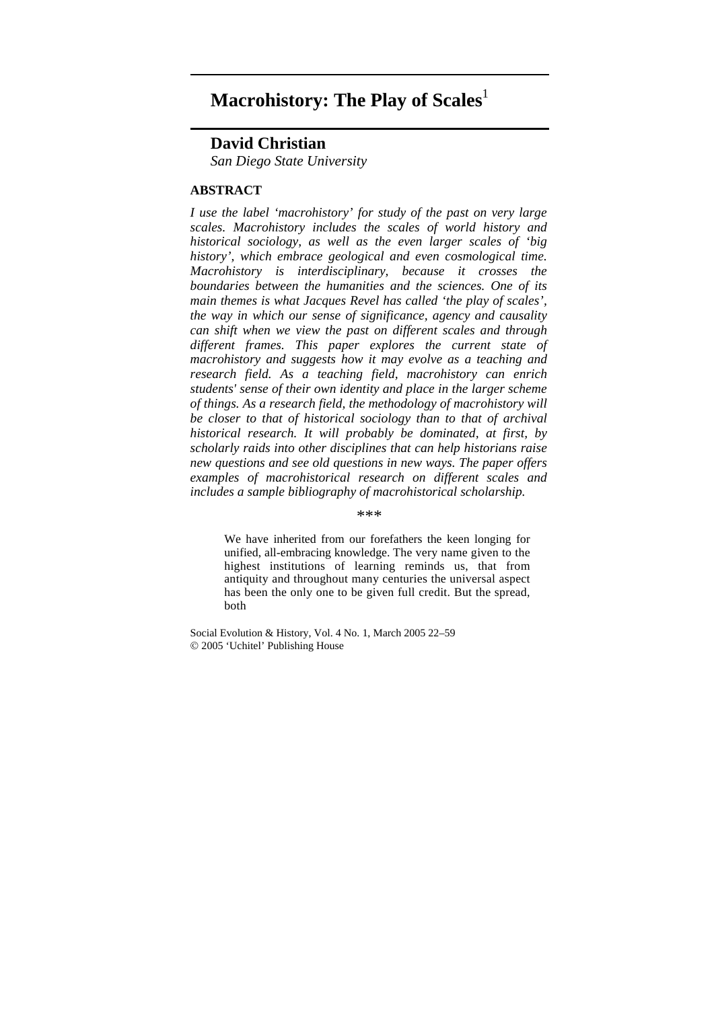# **Macrohistory: The Play of Scales**<sup>1</sup>

# **David Christian**

*San Diego State University* 

# **ABSTRACT**

*I use the label 'macrohistory' for study of the past on very large scales. Macrohistory includes the scales of world history and historical sociology, as well as the even larger scales of 'big history', which embrace geological and even cosmological time. Macrohistory is interdisciplinary, because it crosses the boundaries between the humanities and the sciences. One of its main themes is what Jacques Revel has called 'the play of scales', the way in which our sense of significance, agency and causality can shift when we view the past on different scales and through different frames. This paper explores the current state of macrohistory and suggests how it may evolve as a teaching and research field. As a teaching field, macrohistory can enrich students' sense of their own identity and place in the larger scheme of things. As a research field, the methodology of macrohistory will be closer to that of historical sociology than to that of archival historical research. It will probably be dominated, at first, by scholarly raids into other disciplines that can help historians raise new questions and see old questions in new ways. The paper offers examples of macrohistorical research on different scales and includes a sample bibliography of macrohistorical scholarship.* 

*\*\*\** 

We have inherited from our forefathers the keen longing for unified, all-embracing knowledge. The very name given to the highest institutions of learning reminds us, that from antiquity and throughout many centuries the universal aspect has been the only one to be given full credit. But the spread, both

Social Evolution & History, Vol. 4 No. 1, March 2005 22–59 © 2005 'Uchitel' Publishing House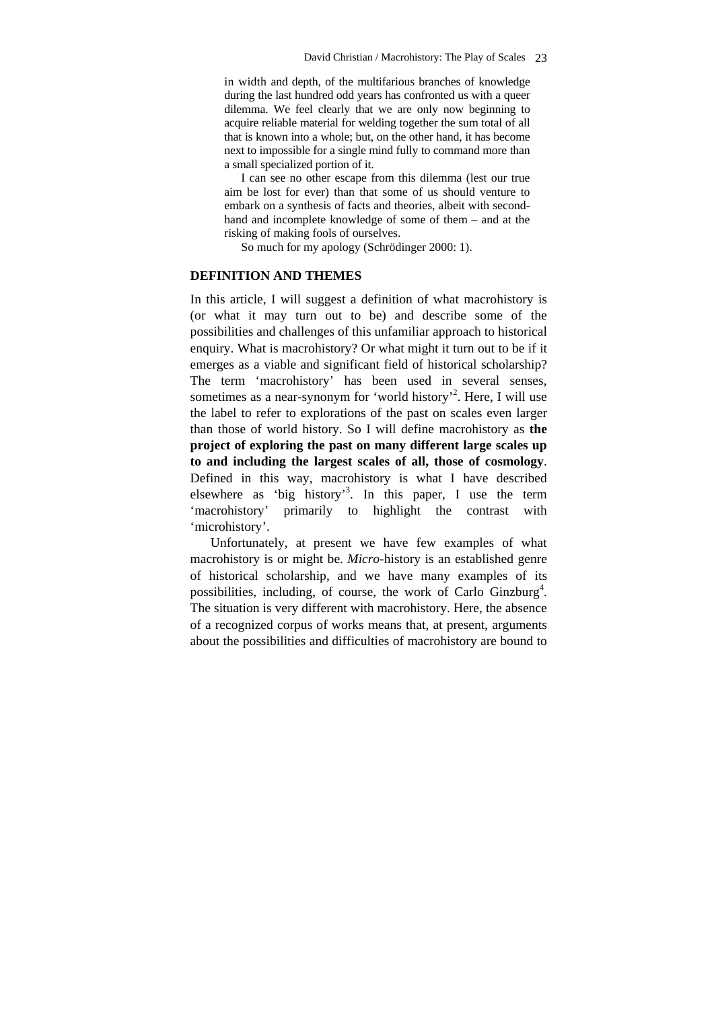in width and depth, of the multifarious branches of knowledge during the last hundred odd years has confronted us with a queer dilemma. We feel clearly that we are only now beginning to acquire reliable material for welding together the sum total of all that is known into a whole; but, on the other hand, it has become next to impossible for a single mind fully to command more than a small specialized portion of it.

I can see no other escape from this dilemma (lest our true aim be lost for ever) than that some of us should venture to embark on a synthesis of facts and theories, albeit with secondhand and incomplete knowledge of some of them – and at the risking of making fools of ourselves.

So much for my apology (Schrödinger 2000: 1).

# **DEFINITION AND THEMES**

In this article, I will suggest a definition of what macrohistory is (or what it may turn out to be) and describe some of the possibilities and challenges of this unfamiliar approach to historical enquiry. What is macrohistory? Or what might it turn out to be if it emerges as a viable and significant field of historical scholarship? The term 'macrohistory' has been used in several senses, sometimes as a near-synonym for 'world history'<sup>2</sup>. Here, I will use the label to refer to explorations of the past on scales even larger than those of world history. So I will define macrohistory as **the project of exploring the past on many different large scales up to and including the largest scales of all, those of cosmology**. Defined in this way, macrohistory is what I have described elsewhere as 'big history'<sup>3</sup>. In this paper, I use the term 'macrohistory' primarily to highlight the contrast with 'microhistory'.

Unfortunately, at present we have few examples of what macrohistory is or might be. *Micro-*history is an established genre of historical scholarship, and we have many examples of its possibilities, including, of course, the work of Carlo Ginzburg<sup>4</sup>. The situation is very different with macrohistory. Here, the absence of a recognized corpus of works means that, at present, arguments about the possibilities and difficulties of macrohistory are bound to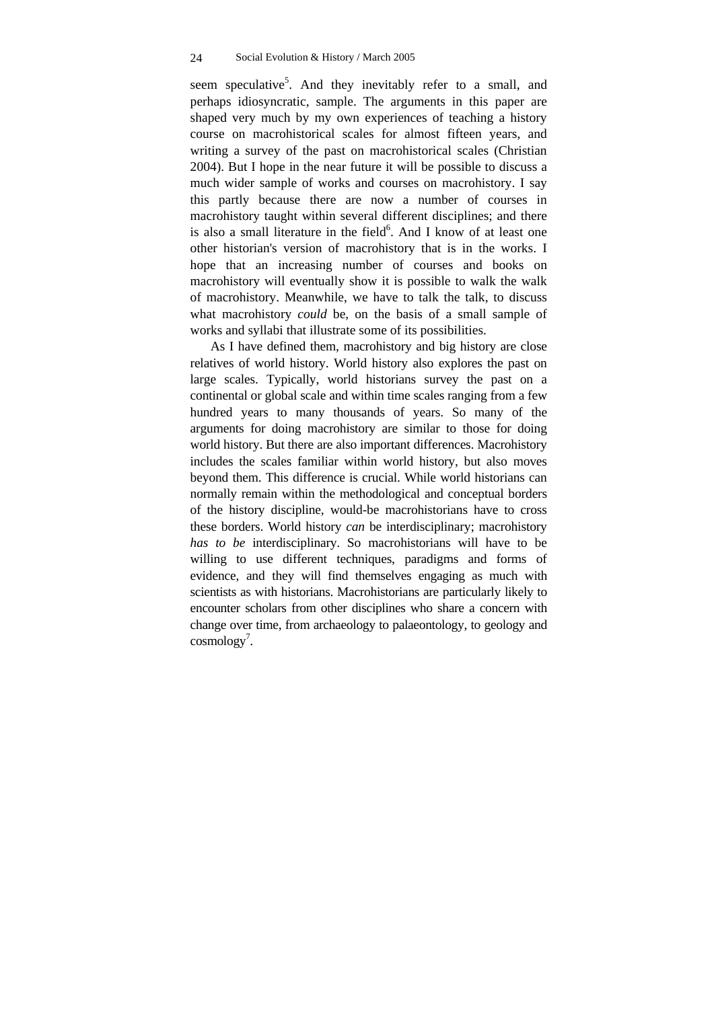seem speculative<sup>5</sup>. And they inevitably refer to a small, and perhaps idiosyncratic, sample. The arguments in this paper are shaped very much by my own experiences of teaching a history course on macrohistorical scales for almost fifteen years, and writing a survey of the past on macrohistorical scales (Christian 2004). But I hope in the near future it will be possible to discuss a much wider sample of works and courses on macrohistory. I say this partly because there are now a number of courses in macrohistory taught within several different disciplines; and there is also a small literature in the field<sup>6</sup>. And I know of at least one other historian's version of macrohistory that is in the works. I hope that an increasing number of courses and books on macrohistory will eventually show it is possible to walk the walk of macrohistory. Meanwhile, we have to talk the talk, to discuss what macrohistory *could* be, on the basis of a small sample of works and syllabi that illustrate some of its possibilities.

As I have defined them, macrohistory and big history are close relatives of world history. World history also explores the past on large scales. Typically, world historians survey the past on a continental or global scale and within time scales ranging from a few hundred years to many thousands of years. So many of the arguments for doing macrohistory are similar to those for doing world history. But there are also important differences. Macrohistory includes the scales familiar within world history, but also moves beyond them. This difference is crucial. While world historians can normally remain within the methodological and conceptual borders of the history discipline, would-be macrohistorians have to cross these borders. World history *can* be interdisciplinary; macrohistory *has to be* interdisciplinary. So macrohistorians will have to be willing to use different techniques, paradigms and forms of evidence, and they will find themselves engaging as much with scientists as with historians. Macrohistorians are particularly likely to encounter scholars from other disciplines who share a concern with change over time, from archaeology to palaeontology, to geology and  $\text{cosmology}^7$ .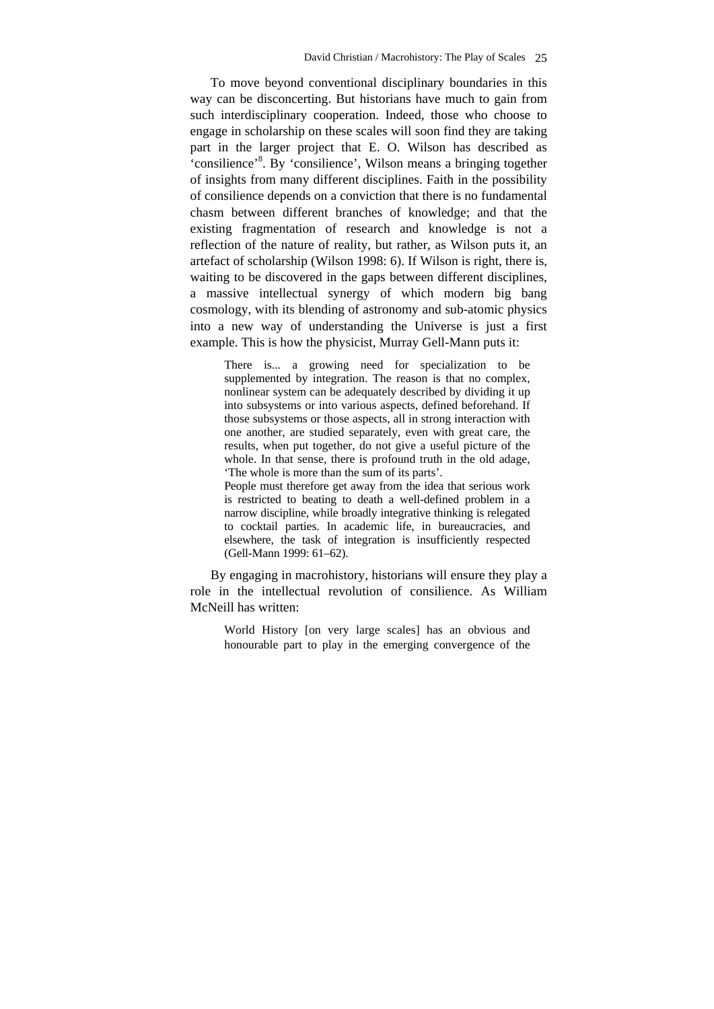To move beyond conventional disciplinary boundaries in this way can be disconcerting. But historians have much to gain from such interdisciplinary cooperation. Indeed, those who choose to engage in scholarship on these scales will soon find they are taking part in the larger project that E. O. Wilson has described as 'consilience'<sup>8</sup>. By 'consilience', Wilson means a bringing together of insights from many different disciplines. Faith in the possibility of consilience depends on a conviction that there is no fundamental chasm between different branches of knowledge; and that the existing fragmentation of research and knowledge is not a reflection of the nature of reality, but rather, as Wilson puts it, an artefact of scholarship (Wilson 1998: 6). If Wilson is right, there is, waiting to be discovered in the gaps between different disciplines, a massive intellectual synergy of which modern big bang cosmology, with its blending of astronomy and sub-atomic physics into a new way of understanding the Universe is just a first example. This is how the physicist, Murray Gell-Mann puts it:

There is... a growing need for specialization to be supplemented by integration. The reason is that no complex, nonlinear system can be adequately described by dividing it up into subsystems or into various aspects, defined beforehand. If those subsystems or those aspects, all in strong interaction with one another, are studied separately, even with great care, the results, when put together, do not give a useful picture of the whole. In that sense, there is profound truth in the old adage, 'The whole is more than the sum of its parts'.

People must therefore get away from the idea that serious work is restricted to beating to death a well-defined problem in a narrow discipline, while broadly integrative thinking is relegated to cocktail parties. In academic life, in bureaucracies, and elsewhere, the task of integration is insufficiently respected (Gell-Mann 1999: 61–62).

By engaging in macrohistory, historians will ensure they play a role in the intellectual revolution of consilience. As William McNeill has written:

World History [on very large scales] has an obvious and honourable part to play in the emerging convergence of the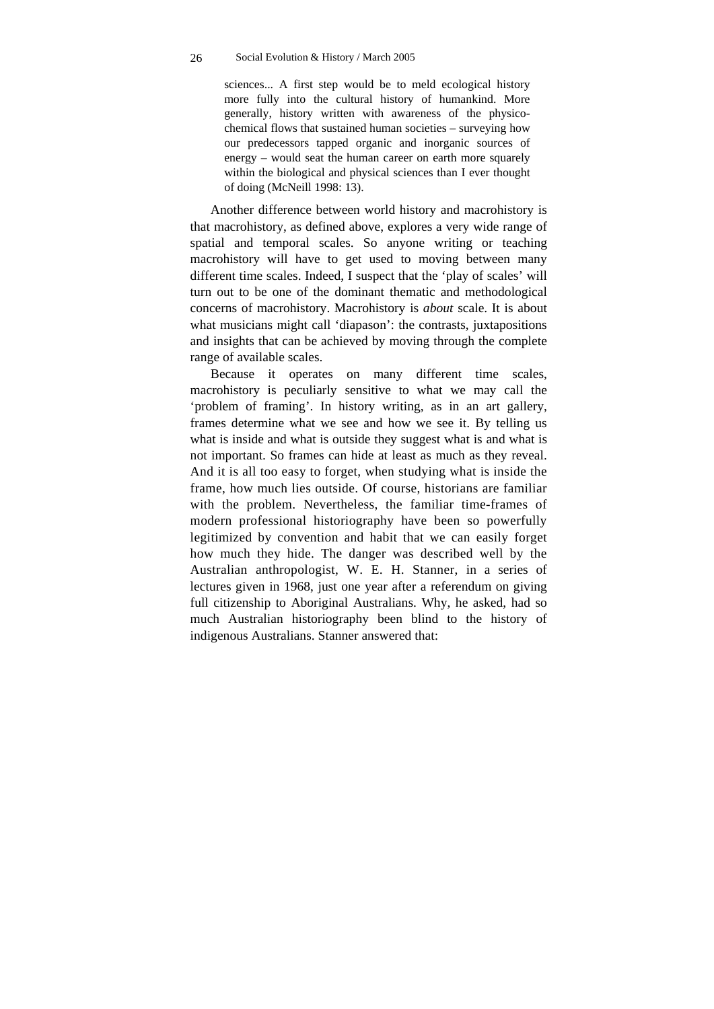sciences... A first step would be to meld ecological history more fully into the cultural history of humankind. More generally, history written with awareness of the physicochemical flows that sustained human societies – surveying how our predecessors tapped organic and inorganic sources of energy – would seat the human career on earth more squarely within the biological and physical sciences than I ever thought of doing (McNeill 1998: 13).

Another difference between world history and macrohistory is that macrohistory, as defined above, explores a very wide range of spatial and temporal scales. So anyone writing or teaching macrohistory will have to get used to moving between many different time scales. Indeed, I suspect that the 'play of scales' will turn out to be one of the dominant thematic and methodological concerns of macrohistory. Macrohistory is *about* scale. It is about what musicians might call 'diapason': the contrasts, juxtapositions and insights that can be achieved by moving through the complete range of available scales.

Because it operates on many different time scales, macrohistory is peculiarly sensitive to what we may call the 'problem of framing'. In history writing, as in an art gallery, frames determine what we see and how we see it. By telling us what is inside and what is outside they suggest what is and what is not important. So frames can hide at least as much as they reveal. And it is all too easy to forget, when studying what is inside the frame, how much lies outside. Of course, historians are familiar with the problem. Nevertheless, the familiar time-frames of modern professional historiography have been so powerfully legitimized by convention and habit that we can easily forget how much they hide. The danger was described well by the Australian anthropologist, W. E. H. Stanner, in a series of lectures given in 1968, just one year after a referendum on giving full citizenship to Aboriginal Australians. Why, he asked, had so much Australian historiography been blind to the history of indigenous Australians. Stanner answered that: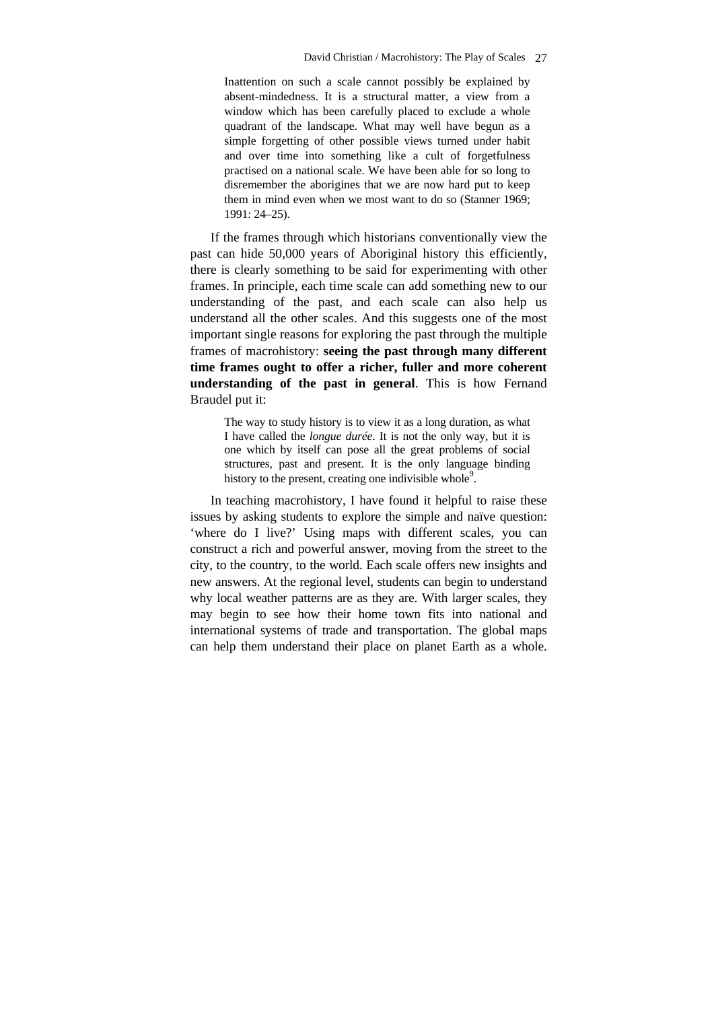Inattention on such a scale cannot possibly be explained by absent-mindedness. It is a structural matter, a view from a window which has been carefully placed to exclude a whole quadrant of the landscape. What may well have begun as a simple forgetting of other possible views turned under habit and over time into something like a cult of forgetfulness practised on a national scale. We have been able for so long to disremember the aborigines that we are now hard put to keep them in mind even when we most want to do so (Stanner 1969; 1991: 24–25).

If the frames through which historians conventionally view the past can hide 50,000 years of Aboriginal history this efficiently, there is clearly something to be said for experimenting with other frames. In principle, each time scale can add something new to our understanding of the past, and each scale can also help us understand all the other scales. And this suggests one of the most important single reasons for exploring the past through the multiple frames of macrohistory: **seeing the past through many different time frames ought to offer a richer, fuller and more coherent understanding of the past in general**. This is how Fernand Braudel put it:

The way to study history is to view it as a long duration, as what I have called the *longue durée*. It is not the only way, but it is one which by itself can pose all the great problems of social structures, past and present. It is the only language binding history to the present, creating one indivisible whole<sup>9</sup>.

In teaching macrohistory, I have found it helpful to raise these issues by asking students to explore the simple and naïve question: 'where do I live?' Using maps with different scales, you can construct a rich and powerful answer, moving from the street to the city, to the country, to the world. Each scale offers new insights and new answers. At the regional level, students can begin to understand why local weather patterns are as they are. With larger scales, they may begin to see how their home town fits into national and international systems of trade and transportation. The global maps can help them understand their place on planet Earth as a whole.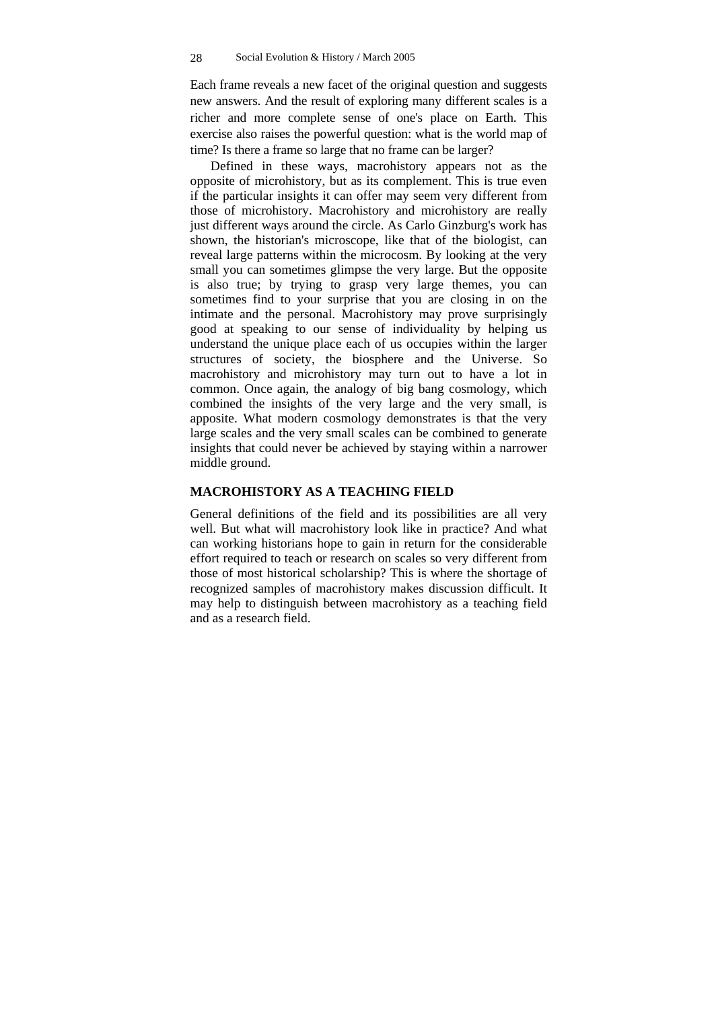Each frame reveals a new facet of the original question and suggests new answers. And the result of exploring many different scales is a richer and more complete sense of one's place on Earth. This exercise also raises the powerful question: what is the world map of time? Is there a frame so large that no frame can be larger?

Defined in these ways, macrohistory appears not as the opposite of microhistory, but as its complement. This is true even if the particular insights it can offer may seem very different from those of microhistory. Macrohistory and microhistory are really just different ways around the circle. As Carlo Ginzburg's work has shown, the historian's microscope, like that of the biologist, can reveal large patterns within the microcosm. By looking at the very small you can sometimes glimpse the very large. But the opposite is also true; by trying to grasp very large themes, you can sometimes find to your surprise that you are closing in on the intimate and the personal. Macrohistory may prove surprisingly good at speaking to our sense of individuality by helping us understand the unique place each of us occupies within the larger structures of society, the biosphere and the Universe. So macrohistory and microhistory may turn out to have a lot in common. Once again, the analogy of big bang cosmology, which combined the insights of the very large and the very small, is apposite. What modern cosmology demonstrates is that the very large scales and the very small scales can be combined to generate insights that could never be achieved by staying within a narrower middle ground.

# **MACROHISTORY AS A TEACHING FIELD**

General definitions of the field and its possibilities are all very well. But what will macrohistory look like in practice? And what can working historians hope to gain in return for the considerable effort required to teach or research on scales so very different from those of most historical scholarship? This is where the shortage of recognized samples of macrohistory makes discussion difficult. It may help to distinguish between macrohistory as a teaching field and as a research field.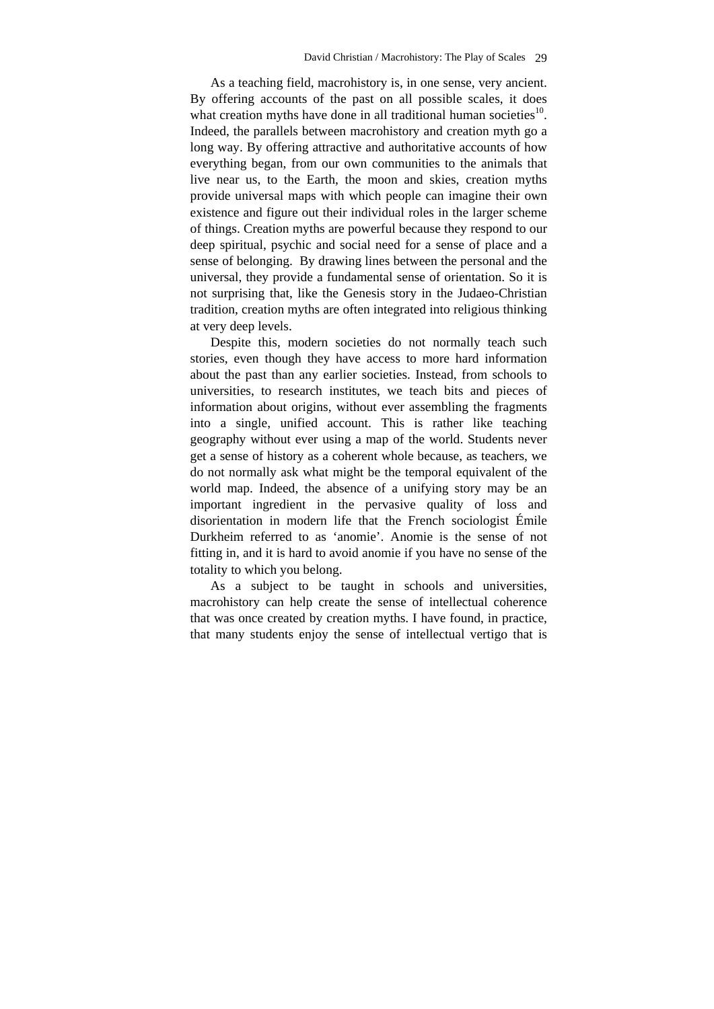As a teaching field, macrohistory is, in one sense, very ancient. By offering accounts of the past on all possible scales, it does what creation myths have done in all traditional human societies $10$ . Indeed, the parallels between macrohistory and creation myth go a long way. By offering attractive and authoritative accounts of how everything began, from our own communities to the animals that live near us, to the Earth, the moon and skies, creation myths provide universal maps with which people can imagine their own existence and figure out their individual roles in the larger scheme of things. Creation myths are powerful because they respond to our deep spiritual, psychic and social need for a sense of place and a sense of belonging. By drawing lines between the personal and the universal, they provide a fundamental sense of orientation. So it is not surprising that, like the Genesis story in the Judaeo-Christian tradition, creation myths are often integrated into religious thinking at very deep levels.

Despite this, modern societies do not normally teach such stories, even though they have access to more hard information about the past than any earlier societies. Instead, from schools to universities, to research institutes, we teach bits and pieces of information about origins, without ever assembling the fragments into a single, unified account. This is rather like teaching geography without ever using a map of the world. Students never get a sense of history as a coherent whole because, as teachers, we do not normally ask what might be the temporal equivalent of the world map. Indeed, the absence of a unifying story may be an important ingredient in the pervasive quality of loss and disorientation in modern life that the French sociologist Émile Durkheim referred to as 'anomie'. Anomie is the sense of not fitting in, and it is hard to avoid anomie if you have no sense of the totality to which you belong.

As a subject to be taught in schools and universities, macrohistory can help create the sense of intellectual coherence that was once created by creation myths. I have found, in practice, that many students enjoy the sense of intellectual vertigo that is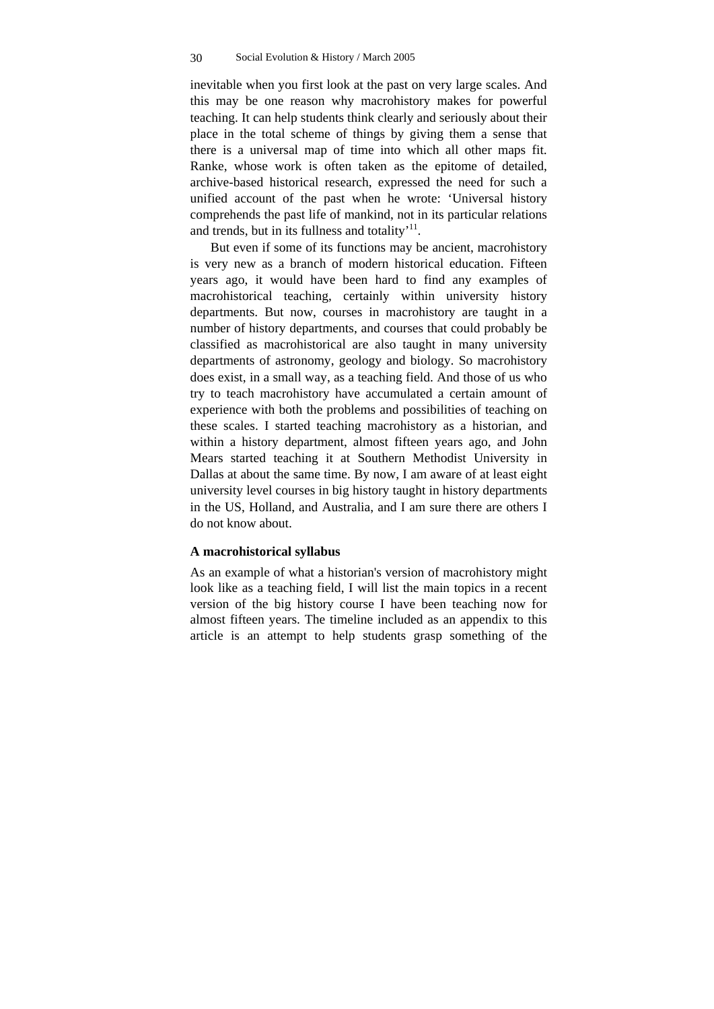inevitable when you first look at the past on very large scales. And this may be one reason why macrohistory makes for powerful teaching. It can help students think clearly and seriously about their place in the total scheme of things by giving them a sense that there is a universal map of time into which all other maps fit. Ranke, whose work is often taken as the epitome of detailed, archive-based historical research, expressed the need for such a unified account of the past when he wrote: 'Universal history comprehends the past life of mankind, not in its particular relations and trends, but in its fullness and totality $11$ .

But even if some of its functions may be ancient, macrohistory is very new as a branch of modern historical education. Fifteen years ago, it would have been hard to find any examples of macrohistorical teaching, certainly within university history departments. But now, courses in macrohistory are taught in a number of history departments, and courses that could probably be classified as macrohistorical are also taught in many university departments of astronomy, geology and biology. So macrohistory does exist, in a small way, as a teaching field. And those of us who try to teach macrohistory have accumulated a certain amount of experience with both the problems and possibilities of teaching on these scales. I started teaching macrohistory as a historian, and within a history department, almost fifteen years ago, and John Mears started teaching it at Southern Methodist University in Dallas at about the same time. By now, I am aware of at least eight university level courses in big history taught in history departments in the US, Holland, and Australia, and I am sure there are others I do not know about.

# **A macrohistorical syllabus**

As an example of what a historian's version of macrohistory might look like as a teaching field, I will list the main topics in a recent version of the big history course I have been teaching now for almost fifteen years. The timeline included as an appendix to this article is an attempt to help students grasp something of the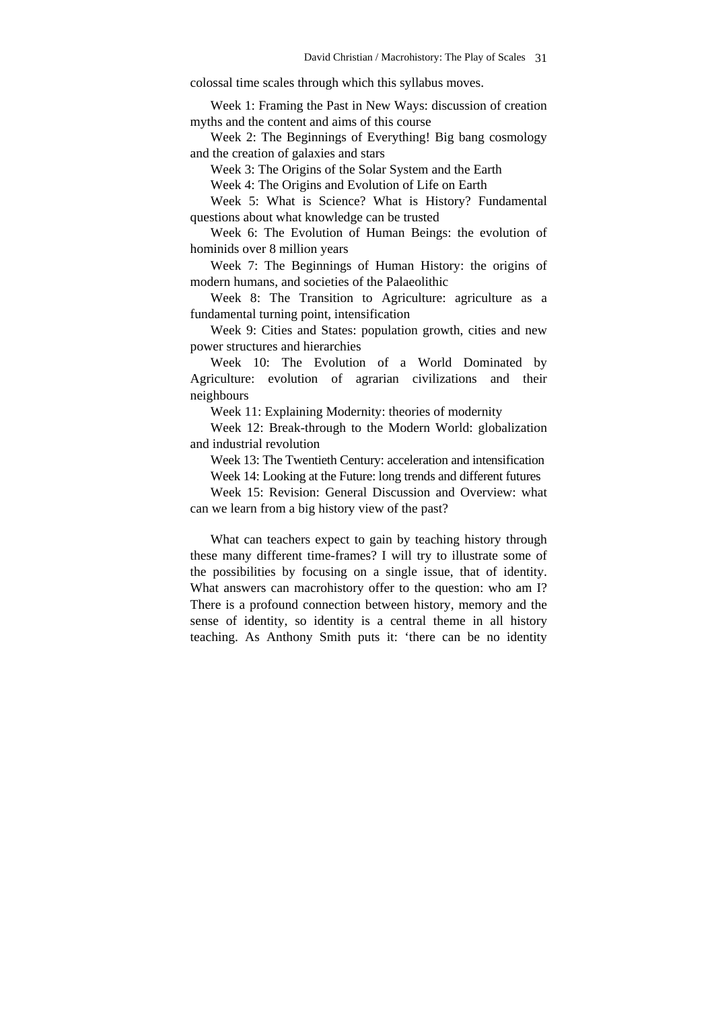colossal time scales through which this syllabus moves.

Week 1: Framing the Past in New Ways: discussion of creation myths and the content and aims of this course

Week 2: The Beginnings of Everything! Big bang cosmology and the creation of galaxies and stars

Week 3: The Origins of the Solar System and the Earth

Week 4: The Origins and Evolution of Life on Earth

Week 5: What is Science? What is History? Fundamental questions about what knowledge can be trusted

Week 6: The Evolution of Human Beings: the evolution of hominids over 8 million years

Week 7: The Beginnings of Human History: the origins of modern humans, and societies of the Palaeolithic

Week 8: The Transition to Agriculture: agriculture as a fundamental turning point, intensification

Week 9: Cities and States: population growth, cities and new power structures and hierarchies

Week 10: The Evolution of a World Dominated by Agriculture: evolution of agrarian civilizations and their neighbours

Week 11: Explaining Modernity: theories of modernity

Week 12: Break-through to the Modern World: globalization and industrial revolution

Week 13: The Twentieth Century: acceleration and intensification

Week 14: Looking at the Future: long trends and different futures

Week 15: Revision: General Discussion and Overview: what can we learn from a big history view of the past?

What can teachers expect to gain by teaching history through these many different time-frames? I will try to illustrate some of the possibilities by focusing on a single issue, that of identity. What answers can macrohistory offer to the question: who am I? There is a profound connection between history, memory and the sense of identity, so identity is a central theme in all history teaching. As Anthony Smith puts it: 'there can be no identity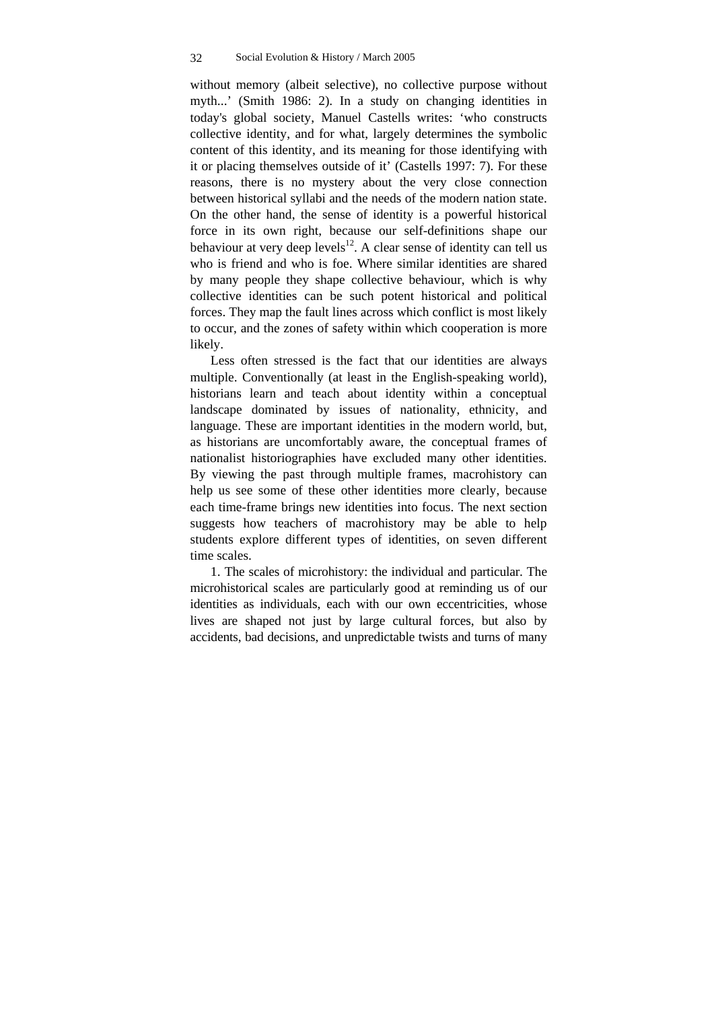without memory (albeit selective), no collective purpose without myth...' (Smith 1986: 2). In a study on changing identities in today's global society, Manuel Castells writes: 'who constructs collective identity, and for what, largely determines the symbolic content of this identity, and its meaning for those identifying with it or placing themselves outside of it' (Castells 1997: 7). For these reasons, there is no mystery about the very close connection between historical syllabi and the needs of the modern nation state. On the other hand, the sense of identity is a powerful historical force in its own right, because our self-definitions shape our behaviour at very deep levels<sup>12</sup>. A clear sense of identity can tell us who is friend and who is foe. Where similar identities are shared by many people they shape collective behaviour, which is why collective identities can be such potent historical and political forces. They map the fault lines across which conflict is most likely to occur, and the zones of safety within which cooperation is more likely.

Less often stressed is the fact that our identities are always multiple. Conventionally (at least in the English-speaking world), historians learn and teach about identity within a conceptual landscape dominated by issues of nationality, ethnicity, and language. These are important identities in the modern world, but, as historians are uncomfortably aware, the conceptual frames of nationalist historiographies have excluded many other identities. By viewing the past through multiple frames, macrohistory can help us see some of these other identities more clearly, because each time-frame brings new identities into focus. The next section suggests how teachers of macrohistory may be able to help students explore different types of identities, on seven different time scales.

1. The scales of microhistory: the individual and particular. The microhistorical scales are particularly good at reminding us of our identities as individuals, each with our own eccentricities, whose lives are shaped not just by large cultural forces, but also by accidents, bad decisions, and unpredictable twists and turns of many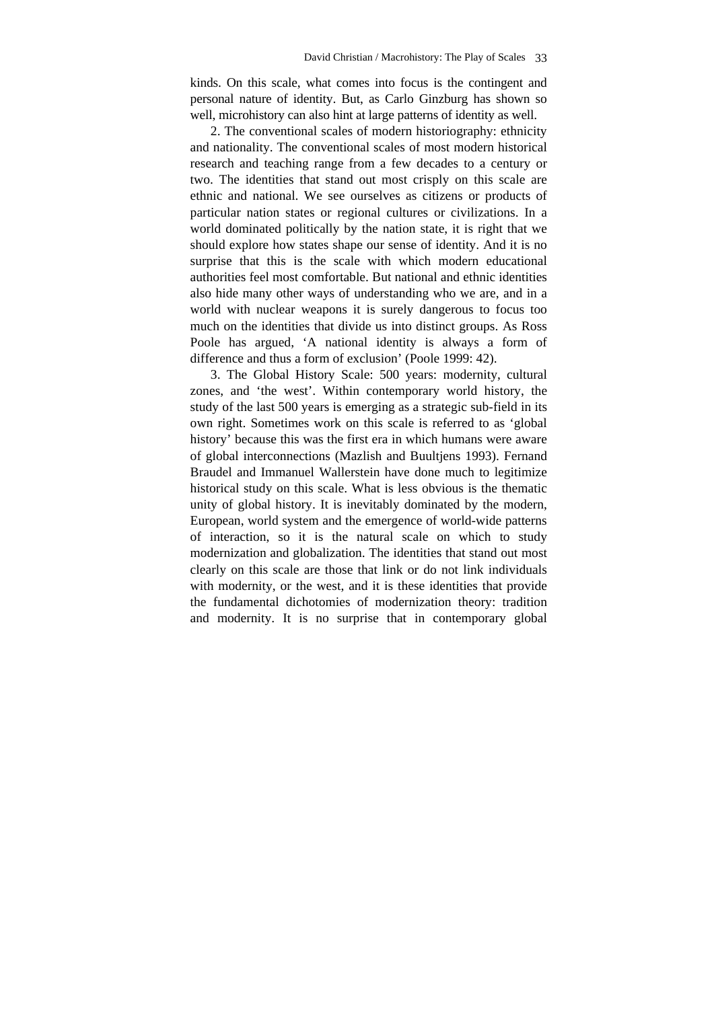kinds. On this scale, what comes into focus is the contingent and personal nature of identity. But, as Carlo Ginzburg has shown so well, microhistory can also hint at large patterns of identity as well.

2. The conventional scales of modern historiography: ethnicity and nationality. The conventional scales of most modern historical research and teaching range from a few decades to a century or two. The identities that stand out most crisply on this scale are ethnic and national. We see ourselves as citizens or products of particular nation states or regional cultures or civilizations. In a world dominated politically by the nation state, it is right that we should explore how states shape our sense of identity. And it is no surprise that this is the scale with which modern educational authorities feel most comfortable. But national and ethnic identities also hide many other ways of understanding who we are, and in a world with nuclear weapons it is surely dangerous to focus too much on the identities that divide us into distinct groups. As Ross Poole has argued, 'A national identity is always a form of difference and thus a form of exclusion' (Poole 1999: 42).

3. The Global History Scale: 500 years: modernity, cultural zones, and 'the west'. Within contemporary world history, the study of the last 500 years is emerging as a strategic sub-field in its own right. Sometimes work on this scale is referred to as 'global history' because this was the first era in which humans were aware of global interconnections (Mazlish and Buultjens 1993). Fernand Braudel and Immanuel Wallerstein have done much to legitimize historical study on this scale. What is less obvious is the thematic unity of global history. It is inevitably dominated by the modern, European, world system and the emergence of world-wide patterns of interaction, so it is the natural scale on which to study modernization and globalization. The identities that stand out most clearly on this scale are those that link or do not link individuals with modernity, or the west, and it is these identities that provide the fundamental dichotomies of modernization theory: tradition and modernity. It is no surprise that in contemporary global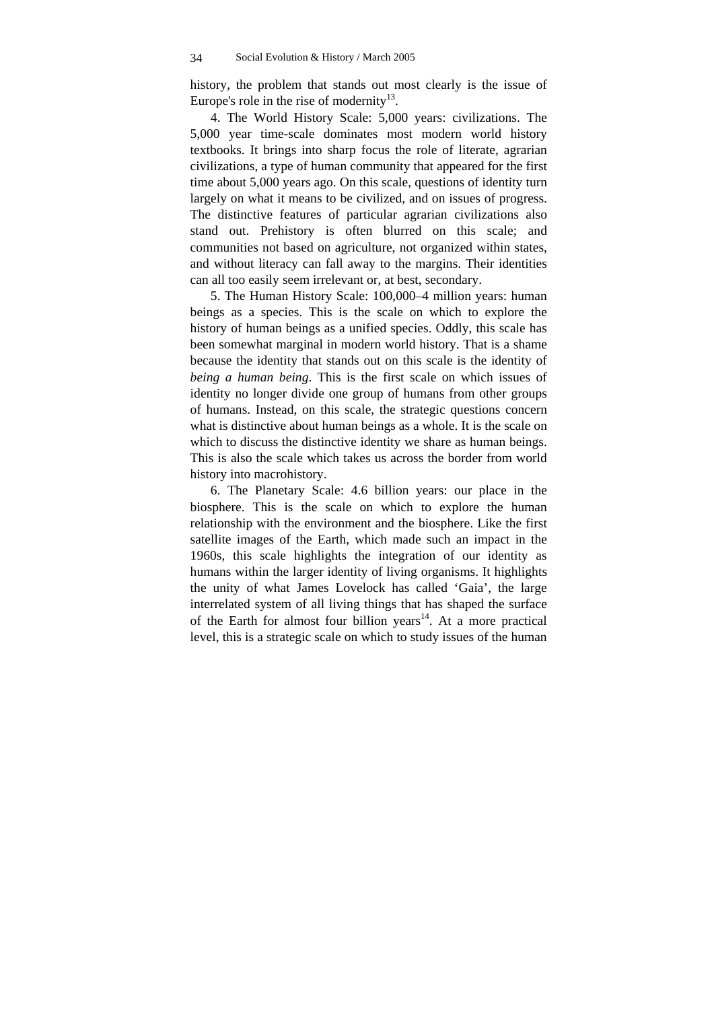history, the problem that stands out most clearly is the issue of Europe's role in the rise of modernity<sup>13</sup>.

4. The World History Scale: 5,000 years: civilizations. The 5,000 year time-scale dominates most modern world history textbooks. It brings into sharp focus the role of literate, agrarian civilizations, a type of human community that appeared for the first time about 5,000 years ago. On this scale, questions of identity turn largely on what it means to be civilized, and on issues of progress. The distinctive features of particular agrarian civilizations also stand out. Prehistory is often blurred on this scale; and communities not based on agriculture, not organized within states, and without literacy can fall away to the margins. Their identities can all too easily seem irrelevant or, at best, secondary.

5. The Human History Scale: 100,000–4 million years: human beings as a species. This is the scale on which to explore the history of human beings as a unified species. Oddly, this scale has been somewhat marginal in modern world history. That is a shame because the identity that stands out on this scale is the identity of *being a human being*. This is the first scale on which issues of identity no longer divide one group of humans from other groups of humans. Instead, on this scale, the strategic questions concern what is distinctive about human beings as a whole. It is the scale on which to discuss the distinctive identity we share as human beings. This is also the scale which takes us across the border from world history into macrohistory.

6. The Planetary Scale: 4.6 billion years: our place in the biosphere. This is the scale on which to explore the human relationship with the environment and the biosphere. Like the first satellite images of the Earth, which made such an impact in the 1960s, this scale highlights the integration of our identity as humans within the larger identity of living organisms. It highlights the unity of what James Lovelock has called 'Gaia', the large interrelated system of all living things that has shaped the surface of the Earth for almost four billion years<sup>14</sup>. At a more practical level, this is a strategic scale on which to study issues of the human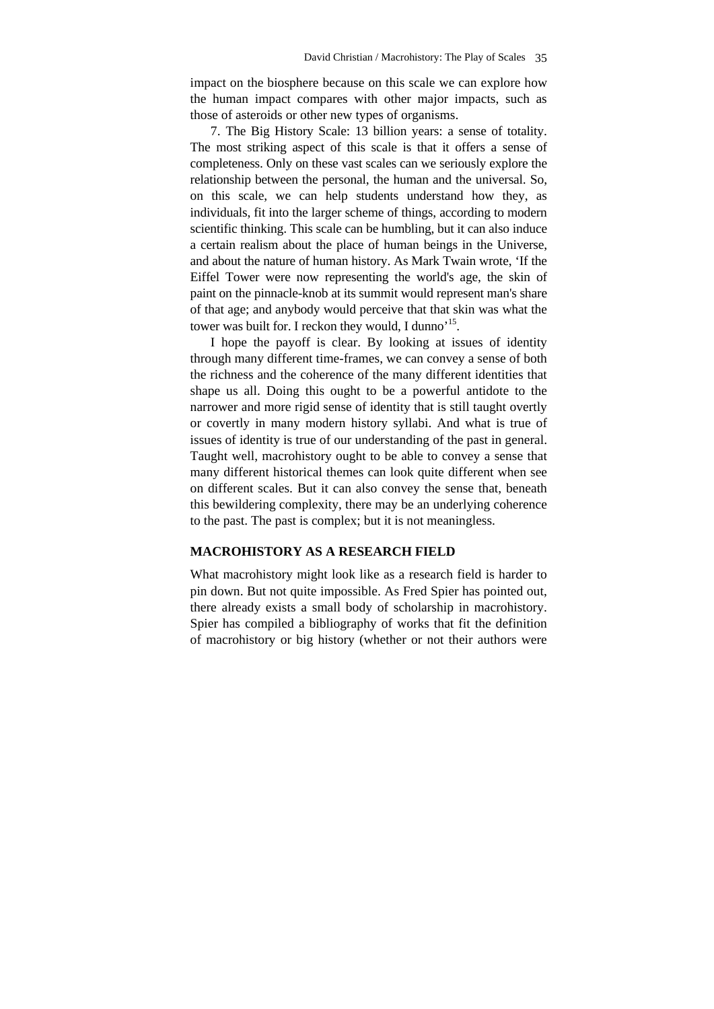impact on the biosphere because on this scale we can explore how the human impact compares with other major impacts, such as those of asteroids or other new types of organisms.

7. The Big History Scale: 13 billion years: a sense of totality. The most striking aspect of this scale is that it offers a sense of completeness. Only on these vast scales can we seriously explore the relationship between the personal, the human and the universal. So, on this scale, we can help students understand how they, as individuals, fit into the larger scheme of things, according to modern scientific thinking. This scale can be humbling, but it can also induce a certain realism about the place of human beings in the Universe, and about the nature of human history. As Mark Twain wrote, 'If the Eiffel Tower were now representing the world's age, the skin of paint on the pinnacle-knob at its summit would represent man's share of that age; and anybody would perceive that that skin was what the tower was built for. I reckon they would, I dunno'<sup>15</sup>.

I hope the payoff is clear. By looking at issues of identity through many different time-frames, we can convey a sense of both the richness and the coherence of the many different identities that shape us all. Doing this ought to be a powerful antidote to the narrower and more rigid sense of identity that is still taught overtly or covertly in many modern history syllabi. And what is true of issues of identity is true of our understanding of the past in general. Taught well, macrohistory ought to be able to convey a sense that many different historical themes can look quite different when see on different scales. But it can also convey the sense that, beneath this bewildering complexity, there may be an underlying coherence to the past. The past is complex; but it is not meaningless.

# **MACROHISTORY AS A RESEARCH FIELD**

What macrohistory might look like as a research field is harder to pin down. But not quite impossible. As Fred Spier has pointed out, there already exists a small body of scholarship in macrohistory. Spier has compiled a bibliography of works that fit the definition of macrohistory or big history (whether or not their authors were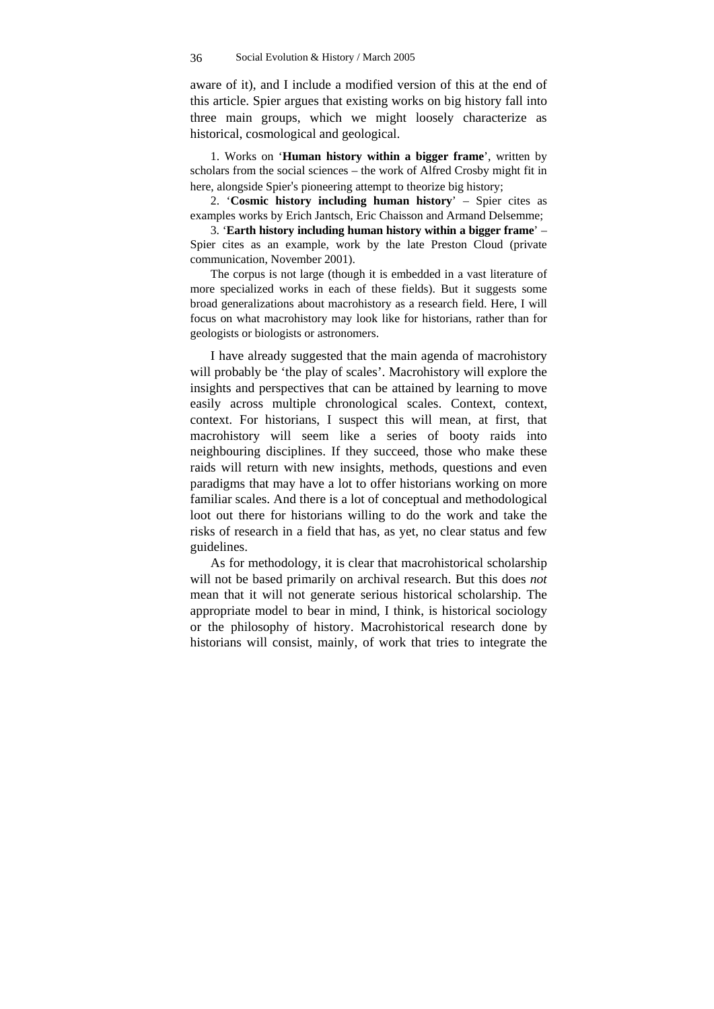aware of it), and I include a modified version of this at the end of this article. Spier argues that existing works on big history fall into three main groups, which we might loosely characterize as historical, cosmological and geological.

1. Works on '**Human history within a bigger frame**', written by scholars from the social sciences – the work of Alfred Crosby might fit in here, alongside Spier's pioneering attempt to theorize big history;

2. '**Cosmic history including human history**' – Spier cites as examples works by Erich Jantsch, Eric Chaisson and Armand Delsemme;

3. '**Earth history including human history within a bigger frame**' – Spier cites as an example, work by the late Preston Cloud (private communication, November 2001).

The corpus is not large (though it is embedded in a vast literature of more specialized works in each of these fields). But it suggests some broad generalizations about macrohistory as a research field. Here, I will focus on what macrohistory may look like for historians, rather than for geologists or biologists or astronomers.

I have already suggested that the main agenda of macrohistory will probably be 'the play of scales'. Macrohistory will explore the insights and perspectives that can be attained by learning to move easily across multiple chronological scales. Context, context, context. For historians, I suspect this will mean, at first, that macrohistory will seem like a series of booty raids into neighbouring disciplines. If they succeed, those who make these raids will return with new insights, methods, questions and even paradigms that may have a lot to offer historians working on more familiar scales. And there is a lot of conceptual and methodological loot out there for historians willing to do the work and take the risks of research in a field that has, as yet, no clear status and few guidelines.

As for methodology, it is clear that macrohistorical scholarship will not be based primarily on archival research. But this does *not* mean that it will not generate serious historical scholarship. The appropriate model to bear in mind, I think, is historical sociology or the philosophy of history. Macrohistorical research done by historians will consist, mainly, of work that tries to integrate the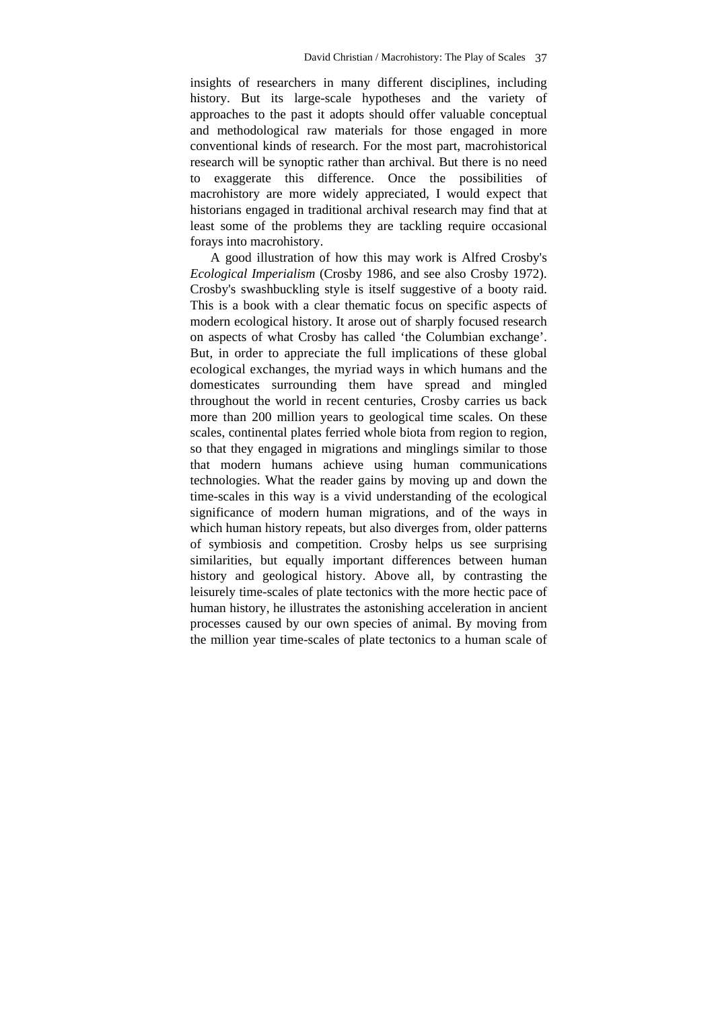insights of researchers in many different disciplines, including history. But its large-scale hypotheses and the variety of approaches to the past it adopts should offer valuable conceptual and methodological raw materials for those engaged in more conventional kinds of research. For the most part, macrohistorical research will be synoptic rather than archival. But there is no need to exaggerate this difference. Once the possibilities of macrohistory are more widely appreciated, I would expect that historians engaged in traditional archival research may find that at least some of the problems they are tackling require occasional forays into macrohistory.

A good illustration of how this may work is Alfred Crosby's *Ecological Imperialism* (Crosby 1986, and see also Crosby 1972). Crosby's swashbuckling style is itself suggestive of a booty raid. This is a book with a clear thematic focus on specific aspects of modern ecological history. It arose out of sharply focused research on aspects of what Crosby has called 'the Columbian exchange'. But, in order to appreciate the full implications of these global ecological exchanges, the myriad ways in which humans and the domesticates surrounding them have spread and mingled throughout the world in recent centuries, Crosby carries us back more than 200 million years to geological time scales. On these scales, continental plates ferried whole biota from region to region, so that they engaged in migrations and minglings similar to those that modern humans achieve using human communications technologies. What the reader gains by moving up and down the time-scales in this way is a vivid understanding of the ecological significance of modern human migrations, and of the ways in which human history repeats, but also diverges from, older patterns of symbiosis and competition. Crosby helps us see surprising similarities, but equally important differences between human history and geological history. Above all, by contrasting the leisurely time-scales of plate tectonics with the more hectic pace of human history, he illustrates the astonishing acceleration in ancient processes caused by our own species of animal. By moving from the million year time-scales of plate tectonics to a human scale of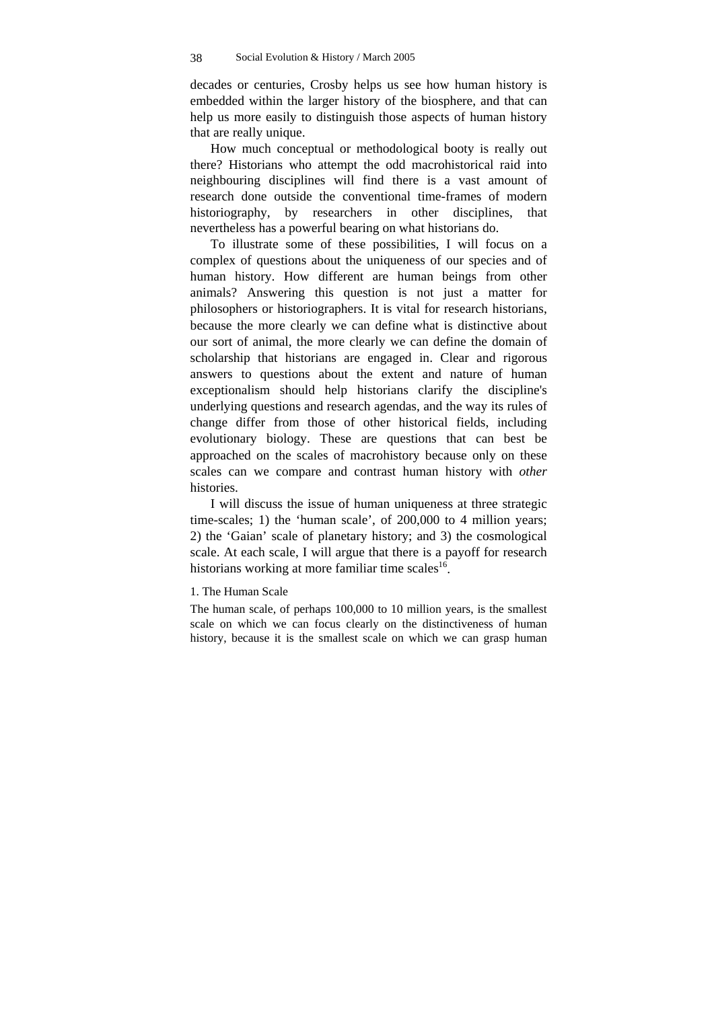decades or centuries, Crosby helps us see how human history is embedded within the larger history of the biosphere, and that can help us more easily to distinguish those aspects of human history that are really unique.

How much conceptual or methodological booty is really out there? Historians who attempt the odd macrohistorical raid into neighbouring disciplines will find there is a vast amount of research done outside the conventional time-frames of modern historiography, by researchers in other disciplines, that nevertheless has a powerful bearing on what historians do.

To illustrate some of these possibilities, I will focus on a complex of questions about the uniqueness of our species and of human history. How different are human beings from other animals? Answering this question is not just a matter for philosophers or historiographers. It is vital for research historians, because the more clearly we can define what is distinctive about our sort of animal, the more clearly we can define the domain of scholarship that historians are engaged in. Clear and rigorous answers to questions about the extent and nature of human exceptionalism should help historians clarify the discipline's underlying questions and research agendas, and the way its rules of change differ from those of other historical fields, including evolutionary biology. These are questions that can best be approached on the scales of macrohistory because only on these scales can we compare and contrast human history with *other* histories.

I will discuss the issue of human uniqueness at three strategic time-scales; 1) the 'human scale', of 200,000 to 4 million years; 2) the 'Gaian' scale of planetary history; and 3) the cosmological scale. At each scale, I will argue that there is a payoff for research historians working at more familiar time scales $^{16}$ .

### 1. The Human Scale

The human scale, of perhaps 100,000 to 10 million years, is the smallest scale on which we can focus clearly on the distinctiveness of human history, because it is the smallest scale on which we can grasp human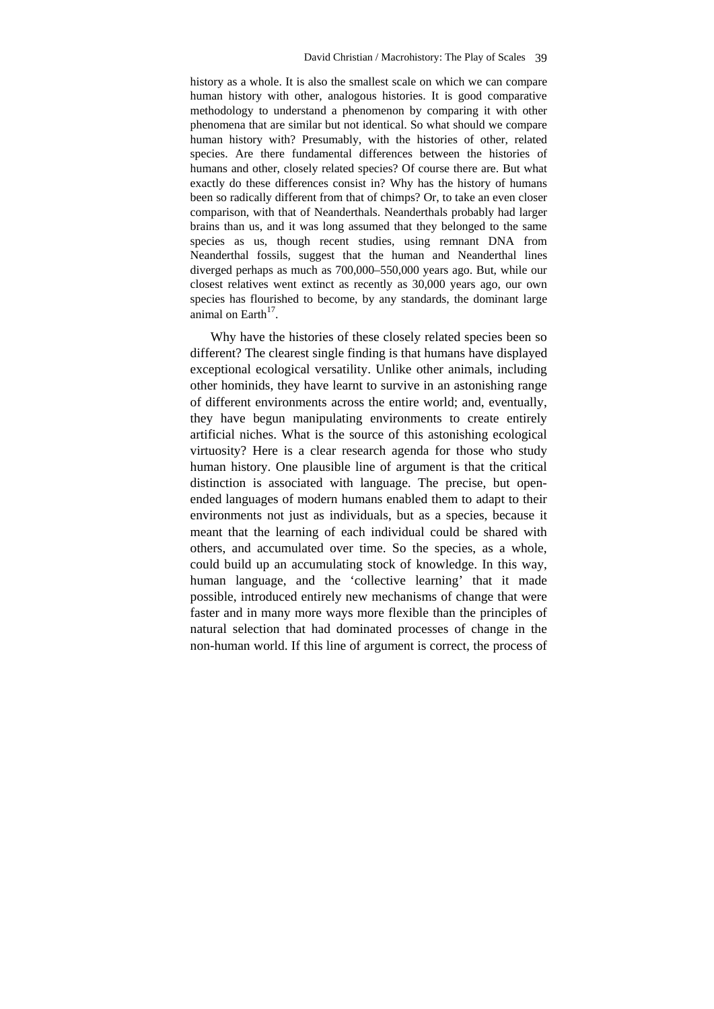history as a whole. It is also the smallest scale on which we can compare human history with other, analogous histories. It is good comparative methodology to understand a phenomenon by comparing it with other phenomena that are similar but not identical. So what should we compare human history with? Presumably, with the histories of other, related species. Are there fundamental differences between the histories of humans and other, closely related species? Of course there are. But what exactly do these differences consist in? Why has the history of humans been so radically different from that of chimps? Or, to take an even closer comparison, with that of Neanderthals. Neanderthals probably had larger brains than us, and it was long assumed that they belonged to the same species as us, though recent studies, using remnant DNA from Neanderthal fossils, suggest that the human and Neanderthal lines diverged perhaps as much as 700,000–550,000 years ago. But, while our closest relatives went extinct as recently as 30,000 years ago, our own species has flourished to become, by any standards, the dominant large animal on Earth $17$ .

Why have the histories of these closely related species been so different? The clearest single finding is that humans have displayed exceptional ecological versatility. Unlike other animals, including other hominids, they have learnt to survive in an astonishing range of different environments across the entire world; and, eventually, they have begun manipulating environments to create entirely artificial niches. What is the source of this astonishing ecological virtuosity? Here is a clear research agenda for those who study human history. One plausible line of argument is that the critical distinction is associated with language. The precise, but openended languages of modern humans enabled them to adapt to their environments not just as individuals, but as a species, because it meant that the learning of each individual could be shared with others, and accumulated over time. So the species, as a whole, could build up an accumulating stock of knowledge. In this way, human language, and the 'collective learning' that it made possible, introduced entirely new mechanisms of change that were faster and in many more ways more flexible than the principles of natural selection that had dominated processes of change in the non-human world. If this line of argument is correct, the process of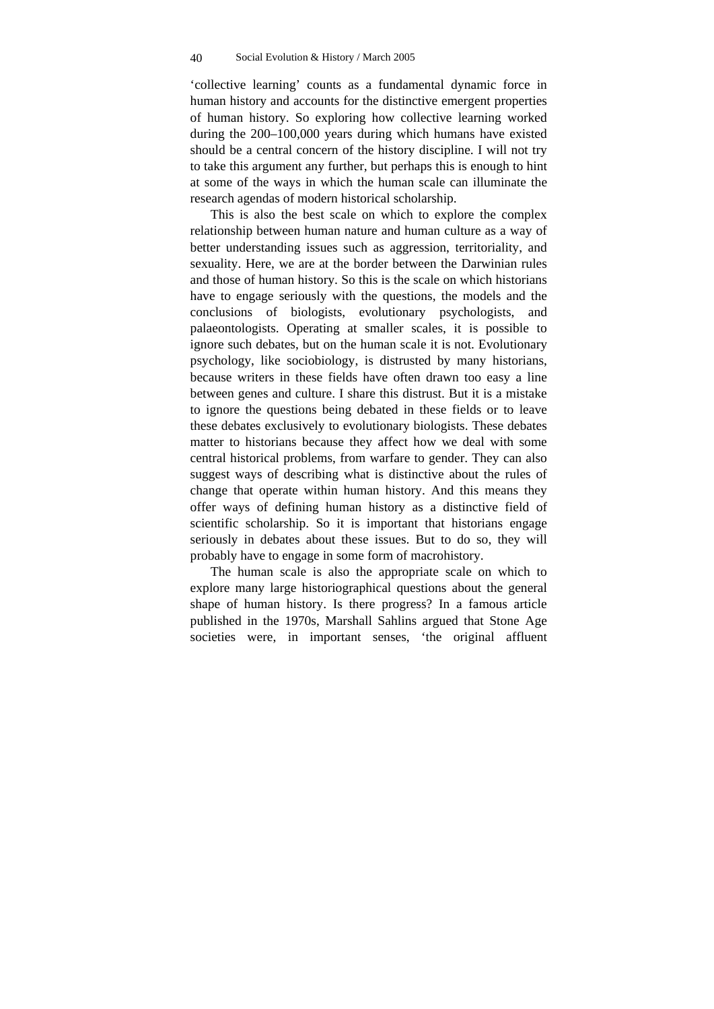'collective learning' counts as a fundamental dynamic force in human history and accounts for the distinctive emergent properties of human history. So exploring how collective learning worked during the 200–100,000 years during which humans have existed should be a central concern of the history discipline. I will not try to take this argument any further, but perhaps this is enough to hint at some of the ways in which the human scale can illuminate the research agendas of modern historical scholarship.

This is also the best scale on which to explore the complex relationship between human nature and human culture as a way of better understanding issues such as aggression, territoriality, and sexuality. Here, we are at the border between the Darwinian rules and those of human history. So this is the scale on which historians have to engage seriously with the questions, the models and the conclusions of biologists, evolutionary psychologists, and palaeontologists. Operating at smaller scales, it is possible to ignore such debates, but on the human scale it is not. Evolutionary psychology, like sociobiology, is distrusted by many historians, because writers in these fields have often drawn too easy a line between genes and culture. I share this distrust. But it is a mistake to ignore the questions being debated in these fields or to leave these debates exclusively to evolutionary biologists. These debates matter to historians because they affect how we deal with some central historical problems, from warfare to gender. They can also suggest ways of describing what is distinctive about the rules of change that operate within human history. And this means they offer ways of defining human history as a distinctive field of scientific scholarship. So it is important that historians engage seriously in debates about these issues. But to do so, they will probably have to engage in some form of macrohistory.

The human scale is also the appropriate scale on which to explore many large historiographical questions about the general shape of human history. Is there progress? In a famous article published in the 1970s, Marshall Sahlins argued that Stone Age societies were, in important senses, 'the original affluent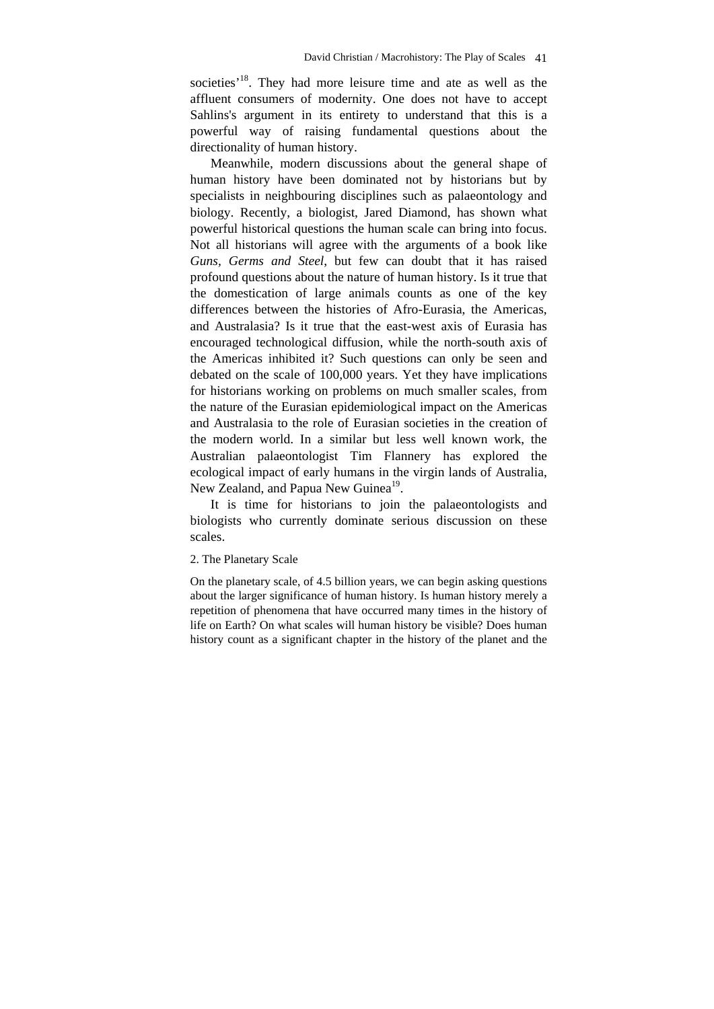societies<sup>'18</sup>. They had more leisure time and ate as well as the affluent consumers of modernity. One does not have to accept Sahlins's argument in its entirety to understand that this is a powerful way of raising fundamental questions about the directionality of human history.

Meanwhile, modern discussions about the general shape of human history have been dominated not by historians but by specialists in neighbouring disciplines such as palaeontology and biology. Recently, a biologist, Jared Diamond, has shown what powerful historical questions the human scale can bring into focus. Not all historians will agree with the arguments of a book like *Guns, Germs and Steel*, but few can doubt that it has raised profound questions about the nature of human history. Is it true that the domestication of large animals counts as one of the key differences between the histories of Afro-Eurasia, the Americas, and Australasia? Is it true that the east-west axis of Eurasia has encouraged technological diffusion, while the north-south axis of the Americas inhibited it? Such questions can only be seen and debated on the scale of 100,000 years. Yet they have implications for historians working on problems on much smaller scales, from the nature of the Eurasian epidemiological impact on the Americas and Australasia to the role of Eurasian societies in the creation of the modern world. In a similar but less well known work, the Australian palaeontologist Tim Flannery has explored the ecological impact of early humans in the virgin lands of Australia, New Zealand, and Papua New Guinea<sup>19</sup>.

It is time for historians to join the palaeontologists and biologists who currently dominate serious discussion on these scales.

#### 2. The Planetary Scale

On the planetary scale, of 4.5 billion years, we can begin asking questions about the larger significance of human history. Is human history merely a repetition of phenomena that have occurred many times in the history of life on Earth? On what scales will human history be visible? Does human history count as a significant chapter in the history of the planet and the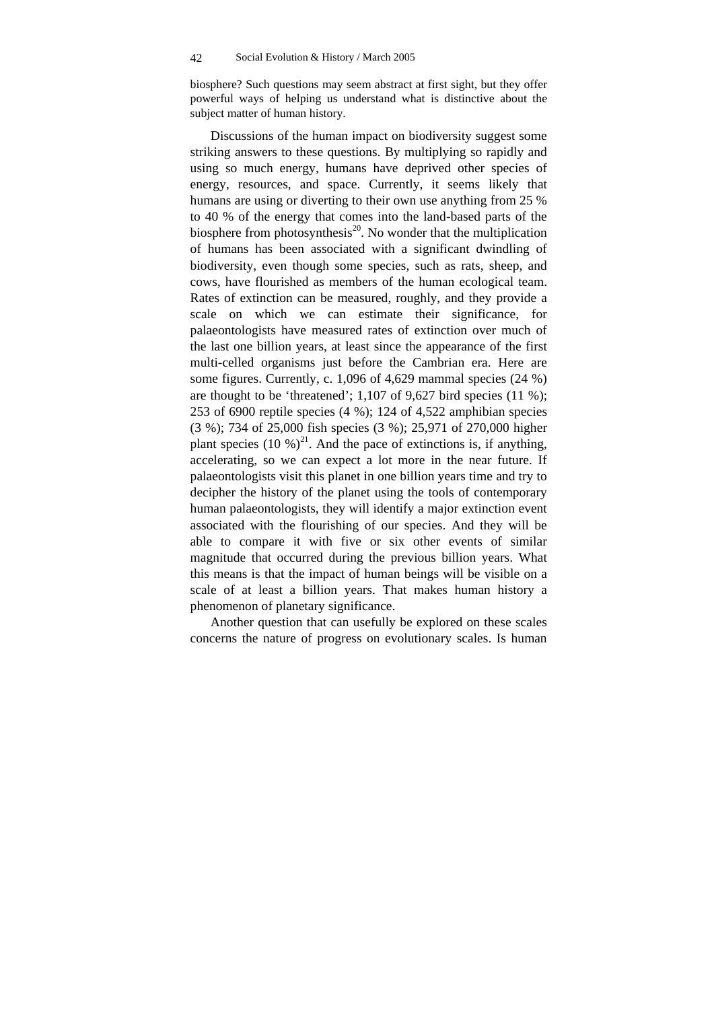biosphere? Such questions may seem abstract at first sight, but they offer powerful ways of helping us understand what is distinctive about the subject matter of human history.

Discussions of the human impact on biodiversity suggest some striking answers to these questions. By multiplying so rapidly and using so much energy, humans have deprived other species of energy, resources, and space. Currently, it seems likely that humans are using or diverting to their own use anything from 25 % to 40 % of the energy that comes into the land-based parts of the biosphere from photosynthesis<sup>20</sup>. No wonder that the multiplication of humans has been associated with a significant dwindling of biodiversity, even though some species, such as rats, sheep, and cows, have flourished as members of the human ecological team. Rates of extinction can be measured, roughly, and they provide a scale on which we can estimate their significance, for palaeontologists have measured rates of extinction over much of the last one billion years, at least since the appearance of the first multi-celled organisms just before the Cambrian era. Here are some figures. Currently, c. 1,096 of 4,629 mammal species (24 %) are thought to be 'threatened'; 1,107 of 9,627 bird species (11 %); 253 of 6900 reptile species (4 %); 124 of 4,522 amphibian species (3 %); 734 of 25,000 fish species (3 %); 25,971 of 270,000 higher plant species (10 %)<sup>21</sup>. And the pace of extinctions is, if anything, accelerating, so we can expect a lot more in the near future. If palaeontologists visit this planet in one billion years time and try to decipher the history of the planet using the tools of contemporary human palaeontologists, they will identify a major extinction event associated with the flourishing of our species. And they will be able to compare it with five or six other events of similar magnitude that occurred during the previous billion years. What this means is that the impact of human beings will be visible on a scale of at least a billion years. That makes human history a phenomenon of planetary significance.

Another question that can usefully be explored on these scales concerns the nature of progress on evolutionary scales. Is human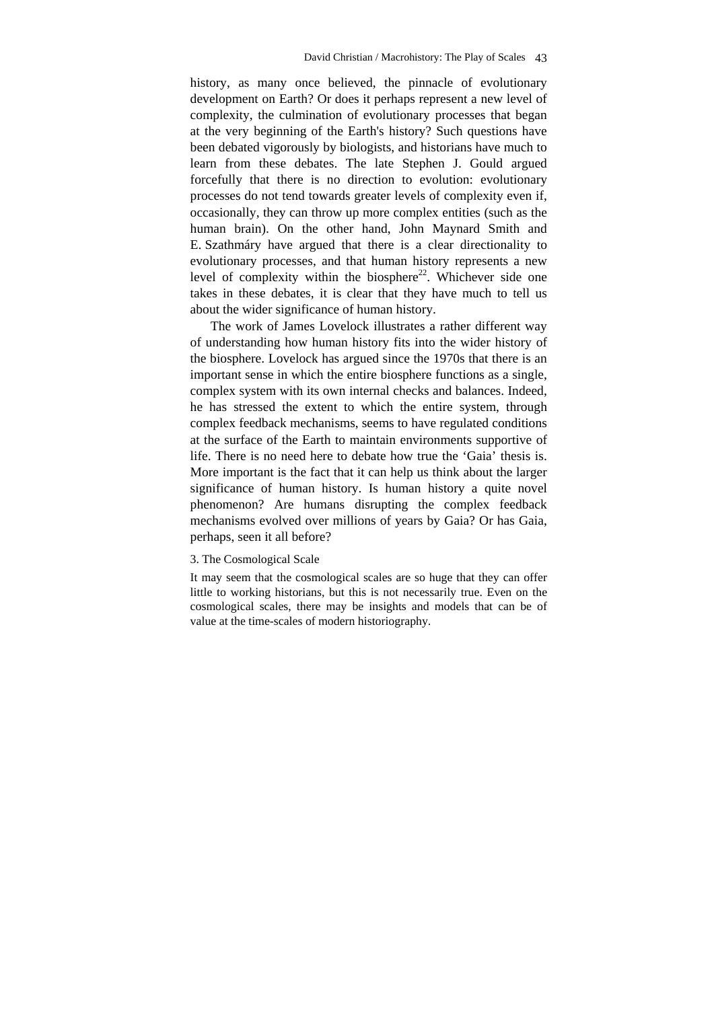history, as many once believed, the pinnacle of evolutionary development on Earth? Or does it perhaps represent a new level of complexity, the culmination of evolutionary processes that began at the very beginning of the Earth's history? Such questions have been debated vigorously by biologists, and historians have much to learn from these debates. The late Stephen J. Gould argued forcefully that there is no direction to evolution: evolutionary processes do not tend towards greater levels of complexity even if, occasionally, they can throw up more complex entities (such as the human brain). On the other hand, John Maynard Smith and E. Szathmáry have argued that there is a clear directionality to evolutionary processes, and that human history represents a new level of complexity within the biosphere<sup>22</sup>. Whichever side one takes in these debates, it is clear that they have much to tell us about the wider significance of human history.

The work of James Lovelock illustrates a rather different way of understanding how human history fits into the wider history of the biosphere. Lovelock has argued since the 1970s that there is an important sense in which the entire biosphere functions as a single, complex system with its own internal checks and balances. Indeed, he has stressed the extent to which the entire system, through complex feedback mechanisms, seems to have regulated conditions at the surface of the Earth to maintain environments supportive of life. There is no need here to debate how true the 'Gaia' thesis is. More important is the fact that it can help us think about the larger significance of human history. Is human history a quite novel phenomenon? Are humans disrupting the complex feedback mechanisms evolved over millions of years by Gaia? Or has Gaia, perhaps, seen it all before?

3. The Cosmological Scale

It may seem that the cosmological scales are so huge that they can offer little to working historians, but this is not necessarily true. Even on the cosmological scales, there may be insights and models that can be of value at the time-scales of modern historiography.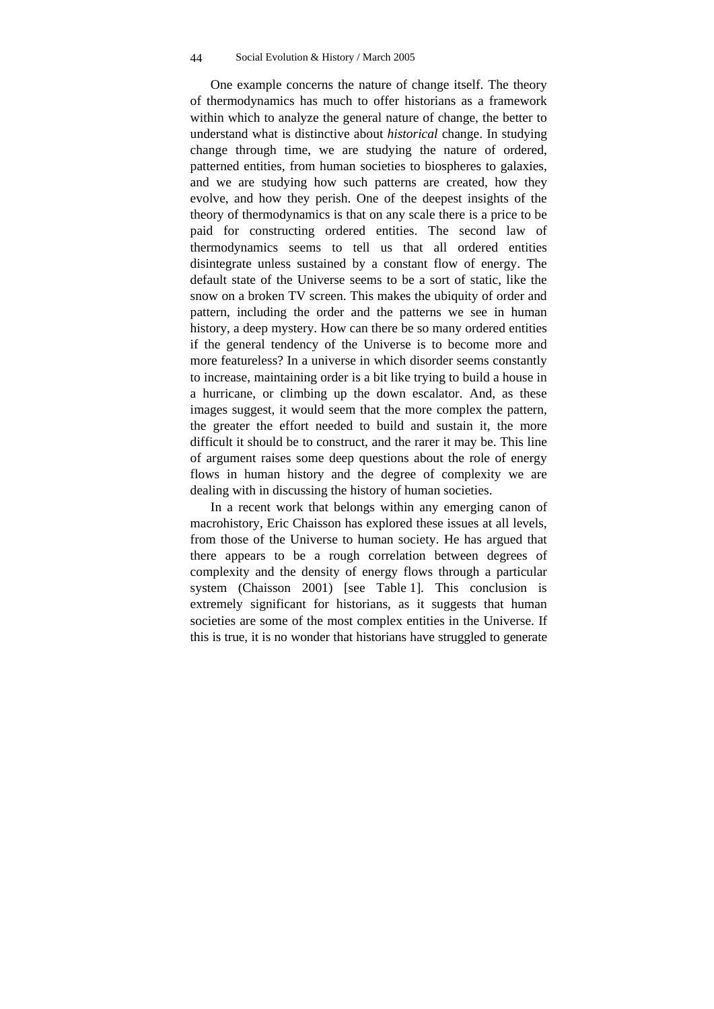One example concerns the nature of change itself. The theory of thermodynamics has much to offer historians as a framework within which to analyze the general nature of change, the better to understand what is distinctive about *historical* change. In studying change through time, we are studying the nature of ordered, patterned entities, from human societies to biospheres to galaxies, and we are studying how such patterns are created, how they evolve, and how they perish. One of the deepest insights of the theory of thermodynamics is that on any scale there is a price to be paid for constructing ordered entities. The second law of thermodynamics seems to tell us that all ordered entities disintegrate unless sustained by a constant flow of energy. The default state of the Universe seems to be a sort of static, like the snow on a broken TV screen. This makes the ubiquity of order and pattern, including the order and the patterns we see in human history, a deep mystery. How can there be so many ordered entities if the general tendency of the Universe is to become more and more featureless? In a universe in which disorder seems constantly to increase, maintaining order is a bit like trying to build a house in a hurricane, or climbing up the down escalator. And, as these images suggest, it would seem that the more complex the pattern, the greater the effort needed to build and sustain it, the more difficult it should be to construct, and the rarer it may be. This line of argument raises some deep questions about the role of energy flows in human history and the degree of complexity we are dealing with in discussing the history of human societies.

In a recent work that belongs within any emerging canon of macrohistory, Eric Chaisson has explored these issues at all levels, from those of the Universe to human society. He has argued that there appears to be a rough correlation between degrees of complexity and the density of energy flows through a particular system (Chaisson 2001) [see Table 1]. This conclusion is extremely significant for historians, as it suggests that human societies are some of the most complex entities in the Universe. If this is true, it is no wonder that historians have struggled to generate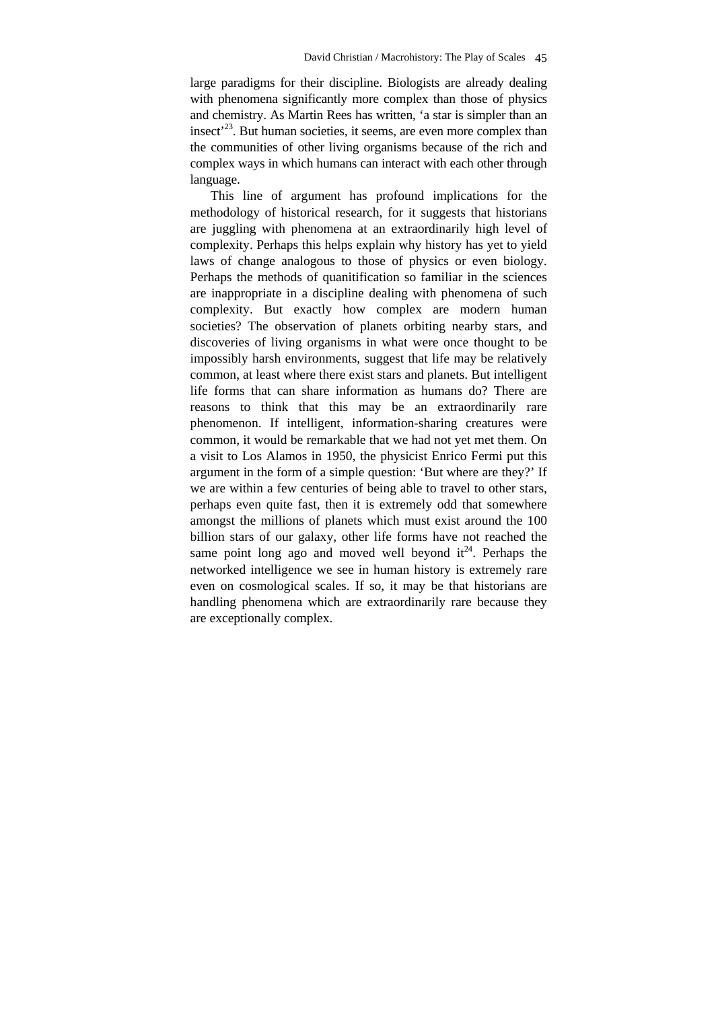large paradigms for their discipline. Biologists are already dealing with phenomena significantly more complex than those of physics and chemistry. As Martin Rees has written, 'a star is simpler than an insect<sup> $23$ </sup>. But human societies, it seems, are even more complex than the communities of other living organisms because of the rich and complex ways in which humans can interact with each other through language.

This line of argument has profound implications for the methodology of historical research, for it suggests that historians are juggling with phenomena at an extraordinarily high level of complexity. Perhaps this helps explain why history has yet to yield laws of change analogous to those of physics or even biology. Perhaps the methods of quanitification so familiar in the sciences are inappropriate in a discipline dealing with phenomena of such complexity. But exactly how complex are modern human societies? The observation of planets orbiting nearby stars, and discoveries of living organisms in what were once thought to be impossibly harsh environments, suggest that life may be relatively common, at least where there exist stars and planets. But intelligent life forms that can share information as humans do? There are reasons to think that this may be an extraordinarily rare phenomenon. If intelligent, information-sharing creatures were common, it would be remarkable that we had not yet met them. On a visit to Los Alamos in 1950, the physicist Enrico Fermi put this argument in the form of a simple question: 'But where are they?' If we are within a few centuries of being able to travel to other stars, perhaps even quite fast, then it is extremely odd that somewhere amongst the millions of planets which must exist around the 100 billion stars of our galaxy, other life forms have not reached the same point long ago and moved well beyond  $it^{24}$ . Perhaps the networked intelligence we see in human history is extremely rare even on cosmological scales. If so, it may be that historians are handling phenomena which are extraordinarily rare because they are exceptionally complex.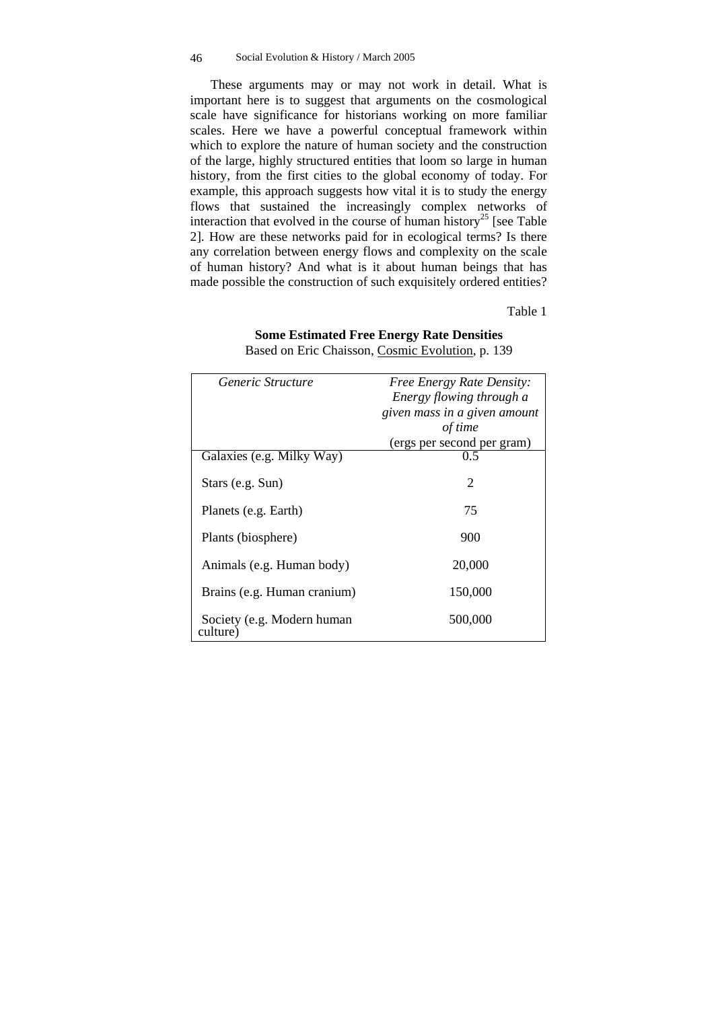These arguments may or may not work in detail. What is important here is to suggest that arguments on the cosmological scale have significance for historians working on more familiar scales. Here we have a powerful conceptual framework within which to explore the nature of human society and the construction of the large, highly structured entities that loom so large in human history, from the first cities to the global economy of today. For example, this approach suggests how vital it is to study the energy flows that sustained the increasingly complex networks of interaction that evolved in the course of human history<sup>25</sup> [see Table 2]. How are these networks paid for in ecological terms? Is there any correlation between energy flows and complexity on the scale of human history? And what is it about human beings that has made possible the construction of such exquisitely ordered entities?

Table 1

#### **Some Estimated Free Energy Rate Densities**

| Generic Structure                      | <b>Free Energy Rate Density:</b> |
|----------------------------------------|----------------------------------|
|                                        | Energy flowing through a         |
|                                        | given mass in a given amount     |
|                                        | of time                          |
|                                        | (ergs per second per gram)       |
| Galaxies (e.g. Milky Way)              | 0.5                              |
| Stars (e.g. Sun)                       | 2                                |
| Planets (e.g. Earth)                   | 75                               |
| Plants (biosphere)                     | 900                              |
| Animals (e.g. Human body)              | 20,000                           |
| Brains (e.g. Human cranium)            | 150,000                          |
| Society (e.g. Modern human<br>culture) | 500,000                          |

Based on Eric Chaisson, Cosmic Evolution, p. 139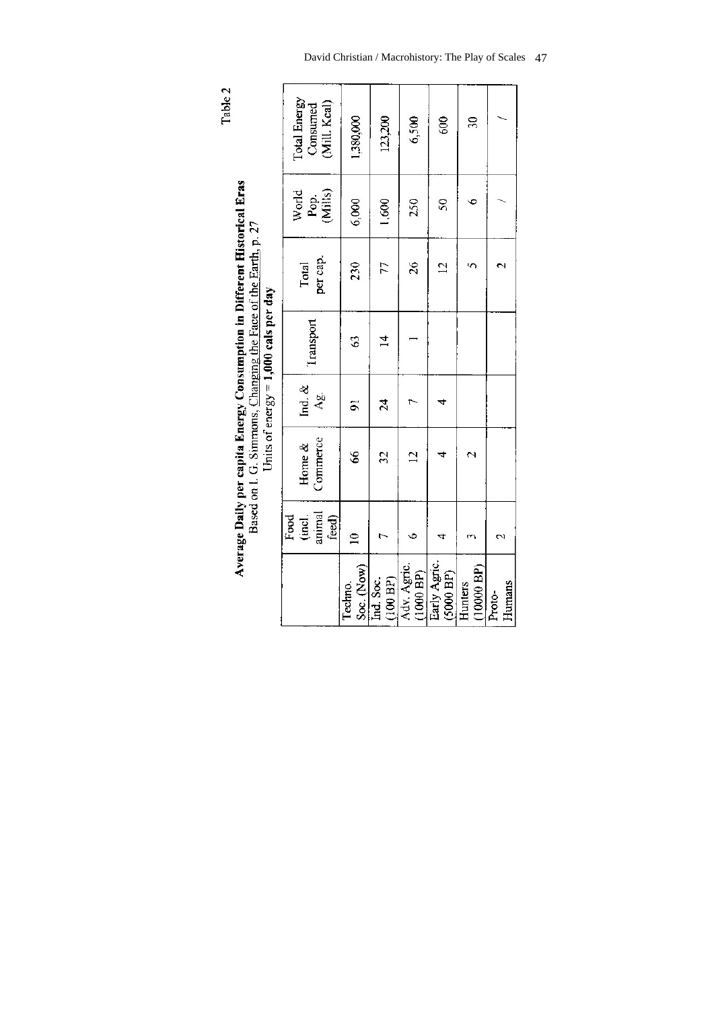Table 2

Average Daily per capita Energy Consumption in Different Historical Eras Based on I. G. Simmons, Changing the Face of the Earth, p. 27 Units of energy =  $1,000$  cals per day

|                           | Food<br>(incl.<br>animal<br>feed) | Commerce<br>Home $\&$ | Ind. $&$<br>As. | fransport | per cap.<br>Total | World<br>Pop.<br>(Mills) | Total Energy<br>Consumed<br>(Mill. Kcal) |
|---------------------------|-----------------------------------|-----------------------|-----------------|-----------|-------------------|--------------------------|------------------------------------------|
| Soc. (Now)<br>Techno.     | $\overline{a}$                    | S                     | $\overline{9}$  | S         | 230               | 6,000                    | 1,380,000                                |
| (100 BP)<br>Ind. Soc.     |                                   | 32                    | 24              | $\vec{4}$ | 77                | 1,600                    | 123,200                                  |
| Adv. Agric<br>(1000 BP)   |                                   | $\overline{2}$        |                 |           | 26                | 250                      | 6,500                                    |
| Early Agric.<br>(5000 BP) |                                   |                       |                 |           | $\overline{c}$    | $\overline{50}$          | 600                                      |
| $(10000$ BP)<br>Hunters   |                                   |                       |                 |           |                   |                          | $\overline{30}$                          |
| Humans<br>Proto-          | $\mathbf{\tilde{c}}$              |                       |                 |           |                   |                          |                                          |
|                           |                                   |                       |                 |           |                   |                          |                                          |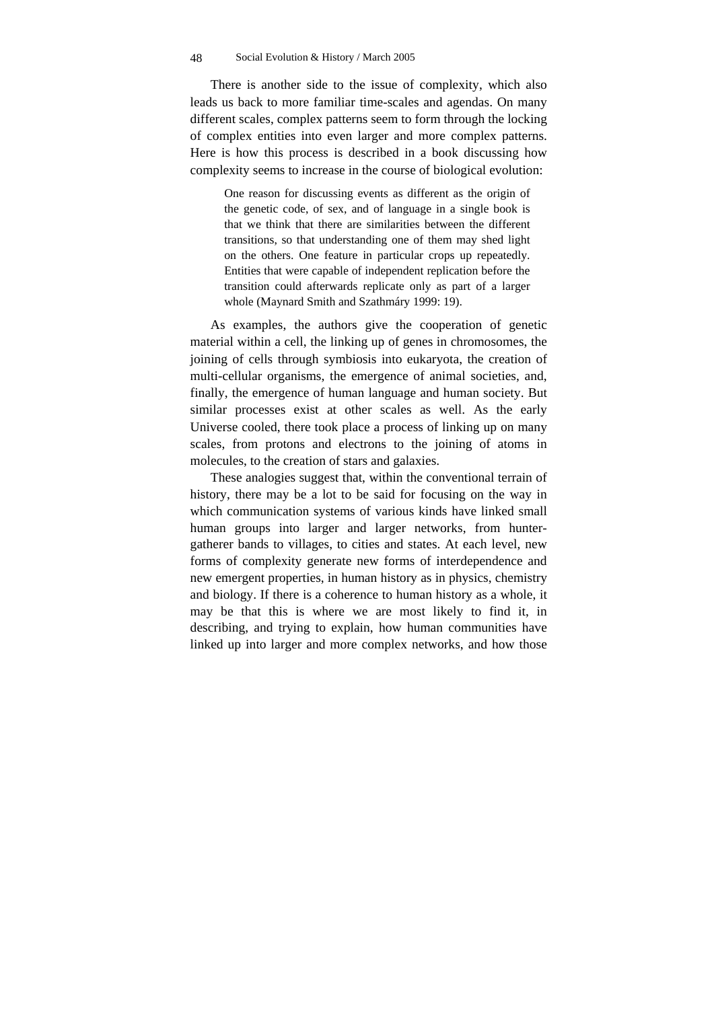There is another side to the issue of complexity, which also leads us back to more familiar time-scales and agendas. On many different scales, complex patterns seem to form through the locking of complex entities into even larger and more complex patterns. Here is how this process is described in a book discussing how complexity seems to increase in the course of biological evolution:

One reason for discussing events as different as the origin of the genetic code, of sex, and of language in a single book is that we think that there are similarities between the different transitions, so that understanding one of them may shed light on the others. One feature in particular crops up repeatedly. Entities that were capable of independent replication before the transition could afterwards replicate only as part of a larger whole (Maynard Smith and Szathmáry 1999: 19).

As examples, the authors give the cooperation of genetic material within a cell, the linking up of genes in chromosomes, the joining of cells through symbiosis into eukaryota, the creation of multi-cellular organisms, the emergence of animal societies, and, finally, the emergence of human language and human society. But similar processes exist at other scales as well. As the early Universe cooled, there took place a process of linking up on many scales, from protons and electrons to the joining of atoms in molecules, to the creation of stars and galaxies.

These analogies suggest that, within the conventional terrain of history, there may be a lot to be said for focusing on the way in which communication systems of various kinds have linked small human groups into larger and larger networks, from huntergatherer bands to villages, to cities and states. At each level, new forms of complexity generate new forms of interdependence and new emergent properties, in human history as in physics, chemistry and biology. If there is a coherence to human history as a whole, it may be that this is where we are most likely to find it, in describing, and trying to explain, how human communities have linked up into larger and more complex networks, and how those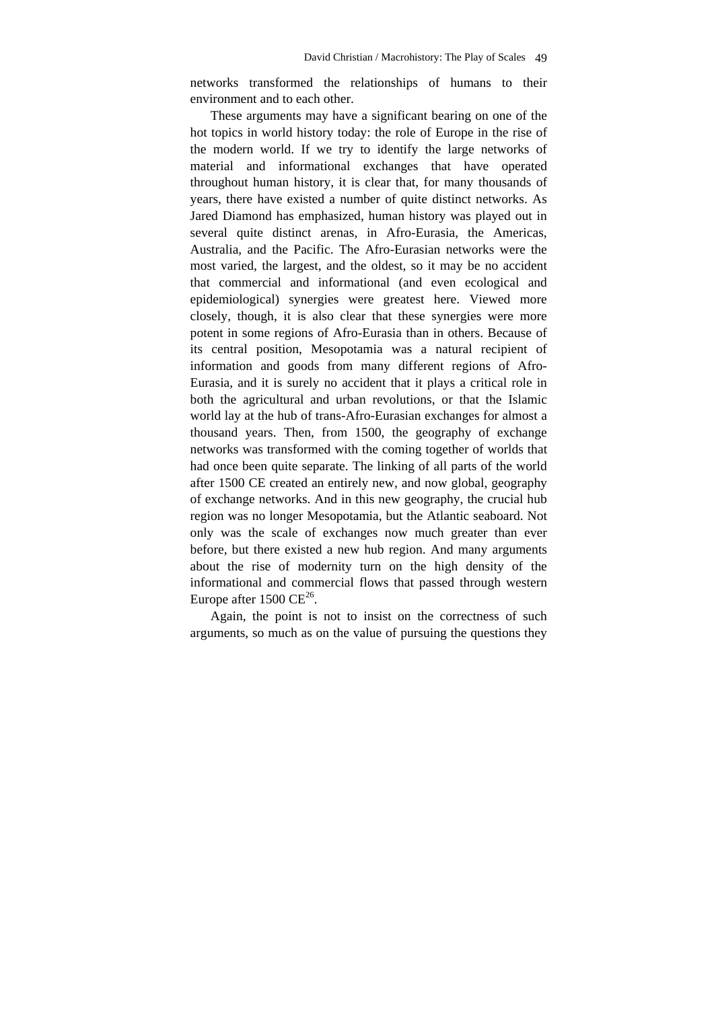networks transformed the relationships of humans to their environment and to each other.

These arguments may have a significant bearing on one of the hot topics in world history today: the role of Europe in the rise of the modern world. If we try to identify the large networks of material and informational exchanges that have operated throughout human history, it is clear that, for many thousands of years, there have existed a number of quite distinct networks. As Jared Diamond has emphasized, human history was played out in several quite distinct arenas, in Afro-Eurasia, the Americas, Australia, and the Pacific. The Afro-Eurasian networks were the most varied, the largest, and the oldest, so it may be no accident that commercial and informational (and even ecological and epidemiological) synergies were greatest here. Viewed more closely, though, it is also clear that these synergies were more potent in some regions of Afro-Eurasia than in others. Because of its central position, Mesopotamia was a natural recipient of information and goods from many different regions of Afro-Eurasia, and it is surely no accident that it plays a critical role in both the agricultural and urban revolutions, or that the Islamic world lay at the hub of trans-Afro-Eurasian exchanges for almost a thousand years. Then, from 1500, the geography of exchange networks was transformed with the coming together of worlds that had once been quite separate. The linking of all parts of the world after 1500 CE created an entirely new, and now global, geography of exchange networks. And in this new geography, the crucial hub region was no longer Mesopotamia, but the Atlantic seaboard. Not only was the scale of exchanges now much greater than ever before, but there existed a new hub region. And many arguments about the rise of modernity turn on the high density of the informational and commercial flows that passed through western Europe after  $1500 \text{ CE}^{26}$ .

Again, the point is not to insist on the correctness of such arguments, so much as on the value of pursuing the questions they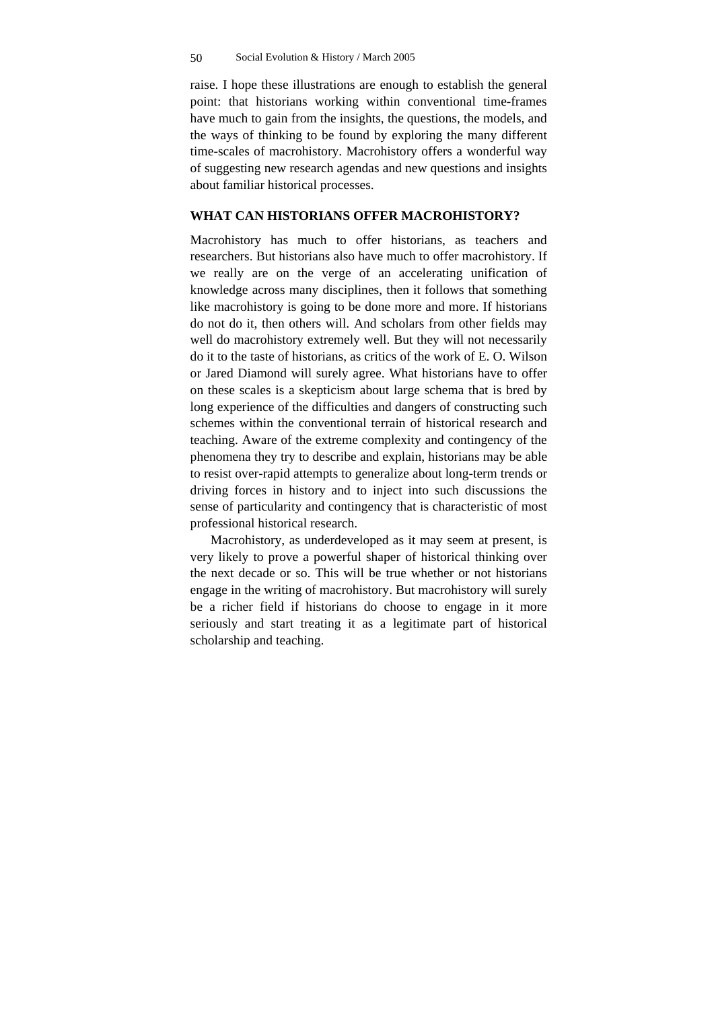raise. I hope these illustrations are enough to establish the general point: that historians working within conventional time-frames have much to gain from the insights, the questions, the models, and the ways of thinking to be found by exploring the many different time-scales of macrohistory. Macrohistory offers a wonderful way of suggesting new research agendas and new questions and insights about familiar historical processes.

# **WHAT CAN HISTORIANS OFFER MACROHISTORY?**

Macrohistory has much to offer historians, as teachers and researchers. But historians also have much to offer macrohistory. If we really are on the verge of an accelerating unification of knowledge across many disciplines, then it follows that something like macrohistory is going to be done more and more. If historians do not do it, then others will. And scholars from other fields may well do macrohistory extremely well. But they will not necessarily do it to the taste of historians, as critics of the work of E. O. Wilson or Jared Diamond will surely agree. What historians have to offer on these scales is a skepticism about large schema that is bred by long experience of the difficulties and dangers of constructing such schemes within the conventional terrain of historical research and teaching. Aware of the extreme complexity and contingency of the phenomena they try to describe and explain, historians may be able to resist over-rapid attempts to generalize about long-term trends or driving forces in history and to inject into such discussions the sense of particularity and contingency that is characteristic of most professional historical research.

Macrohistory, as underdeveloped as it may seem at present, is very likely to prove a powerful shaper of historical thinking over the next decade or so. This will be true whether or not historians engage in the writing of macrohistory. But macrohistory will surely be a richer field if historians do choose to engage in it more seriously and start treating it as a legitimate part of historical scholarship and teaching.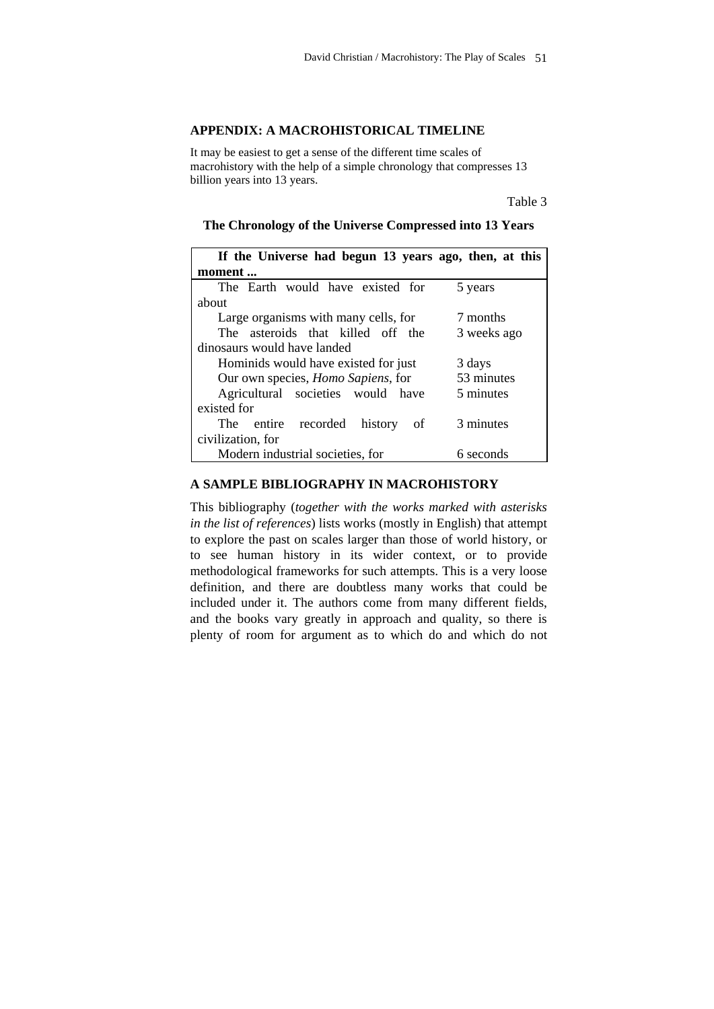### **APPENDIX: A MACROHISTORICAL TIMELINE**

It may be easiest to get a sense of the different time scales of macrohistory with the help of a simple chronology that compresses 13 billion years into 13 years.

Table 3

| If the Universe had begun 13 years ago, then, at this |             |  |
|-------------------------------------------------------|-------------|--|
| moment                                                |             |  |
| The Earth would have existed for                      | 5 years     |  |
| about                                                 |             |  |
| Large organisms with many cells, for                  | 7 months    |  |
| The asteroids that killed off the                     | 3 weeks ago |  |
| dinosaurs would have landed                           |             |  |
| Hominids would have existed for just                  | 3 days      |  |
| Our own species, <i>Homo Sapiens</i> , for            | 53 minutes  |  |
| Agricultural societies would have                     | 5 minutes   |  |
| existed for                                           |             |  |
| The entire recorded history<br>of                     | 3 minutes   |  |
| civilization, for                                     |             |  |
| Modern industrial societies, for                      | 6 seconds   |  |

### **The Chronology of the Universe Compressed into 13 Years**

# **A SAMPLE BIBLIOGRAPHY IN MACROHISTORY**

This bibliography (*together with the works marked with asterisks in the list of references*) lists works (mostly in English) that attempt to explore the past on scales larger than those of world history, or to see human history in its wider context, or to provide methodological frameworks for such attempts. This is a very loose definition, and there are doubtless many works that could be included under it. The authors come from many different fields, and the books vary greatly in approach and quality, so there is plenty of room for argument as to which do and which do not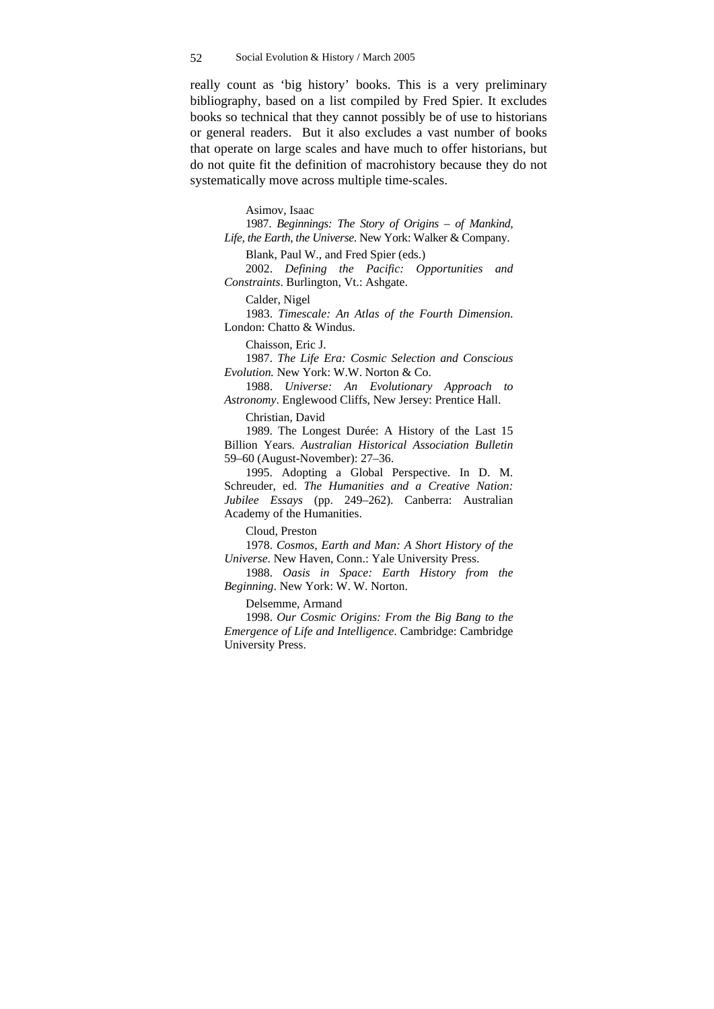really count as 'big history' books. This is a very preliminary bibliography, based on a list compiled by Fred Spier. It excludes books so technical that they cannot possibly be of use to historians or general readers. But it also excludes a vast number of books that operate on large scales and have much to offer historians, but do not quite fit the definition of macrohistory because they do not systematically move across multiple time-scales.

Asimov, Isaac

1987. *Beginnings: The Story of Origins – of Mankind, Life, the Earth, the Universe*. New York: Walker & Company.

Blank, Paul W., and Fred Spier (eds.)

2002. *Defining the Pacific: Opportunities and Constraints*. Burlington, Vt.: Ashgate.

Calder, Nigel

1983. *Timescale: An Atlas of the Fourth Dimension*. London: Chatto & Windus.

Chaisson, Eric J.

1987. *The Life Era: Cosmic Selection and Conscious Evolution.* New York: W.W. Norton & Co.

1988. *Universe: An Evolutionary Approach to Astronomy*. Englewood Cliffs, New Jersey: Prentice Hall.

Christian, David

1989. The Longest Durée: A History of the Last 15 Billion Years. *Australian Historical Association Bulletin* 59–60 (August-November): 27–36.

1995. Adopting a Global Perspective. In D. M. Schreuder, ed. *The Humanities and a Creative Nation: Jubilee Essays* (pp. 249–262). Canberra: Australian Academy of the Humanities.

Cloud, Preston

1978. *Cosmos, Earth and Man: A Short History of the Universe*. New Haven, Conn.: Yale University Press.

1988. *Oasis in Space: Earth History from the Beginning*. New York: W. W. Norton.

Delsemme, Armand

1998. *Our Cosmic Origins: From the Big Bang to the Emergence of Life and Intelligence*. Cambridge: Cambridge University Press.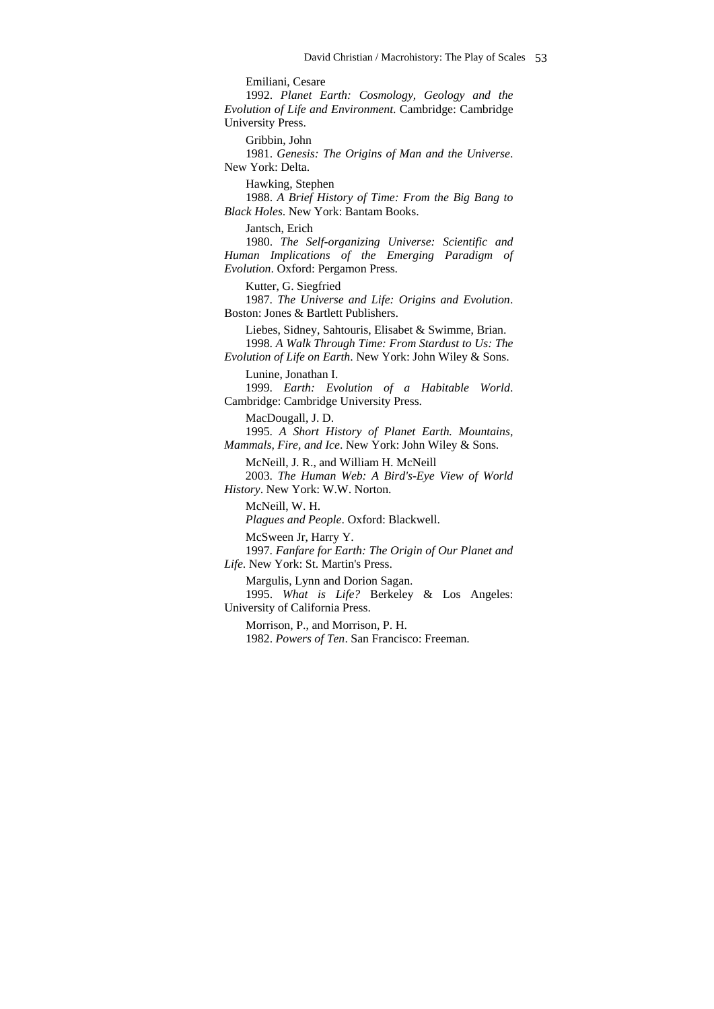Emiliani, Cesare

1992. *Planet Earth: Cosmology, Geology and the Evolution of Life and Environment*. Cambridge: Cambridge University Press.

Gribbin, John

1981. *Genesis: The Origins of Man and the Universe*. New York: Delta.

Hawking, Stephen

1988. *A Brief History of Time: From the Big Bang to Black Holes*. New York: Bantam Books.

Jantsch, Erich

1980. *The Self-organizing Universe: Scientific and Human Implications of the Emerging Paradigm of Evolution*. Oxford: Pergamon Press.

Kutter, G. Siegfried

1987. *The Universe and Life: Origins and Evolution*. Boston: Jones & Bartlett Publishers.

Liebes, Sidney, Sahtouris, Elisabet & Swimme, Brian.

1998. *A Walk Through Time: From Stardust to Us: The Evolution of Life on Earth*. New York: John Wiley & Sons.

Lunine, Jonathan I.

1999. *Earth: Evolution of a Habitable World*. Cambridge: Cambridge University Press.

MacDougall, J. D.

1995. *A Short History of Planet Earth. Mountains, Mammals, Fire, and Ice*. New York: John Wiley & Sons.

McNeill, J. R., and William H. McNeill

2003. *The Human Web: A Bird's-Eye View of World History*. New York: W.W. Norton.

McNeill, W. H. *Plagues and People*. Oxford: Blackwell.

McSween Jr, Harry Y.

1997. *Fanfare for Earth: The Origin of Our Planet and Life*. New York: St. Martin's Press.

Margulis, Lynn and Dorion Sagan.

1995. *What is Life?* Berkeley & Los Angeles: University of California Press.

Morrison, P., and Morrison, P. H. 1982. *Powers of Ten*. San Francisco: Freeman.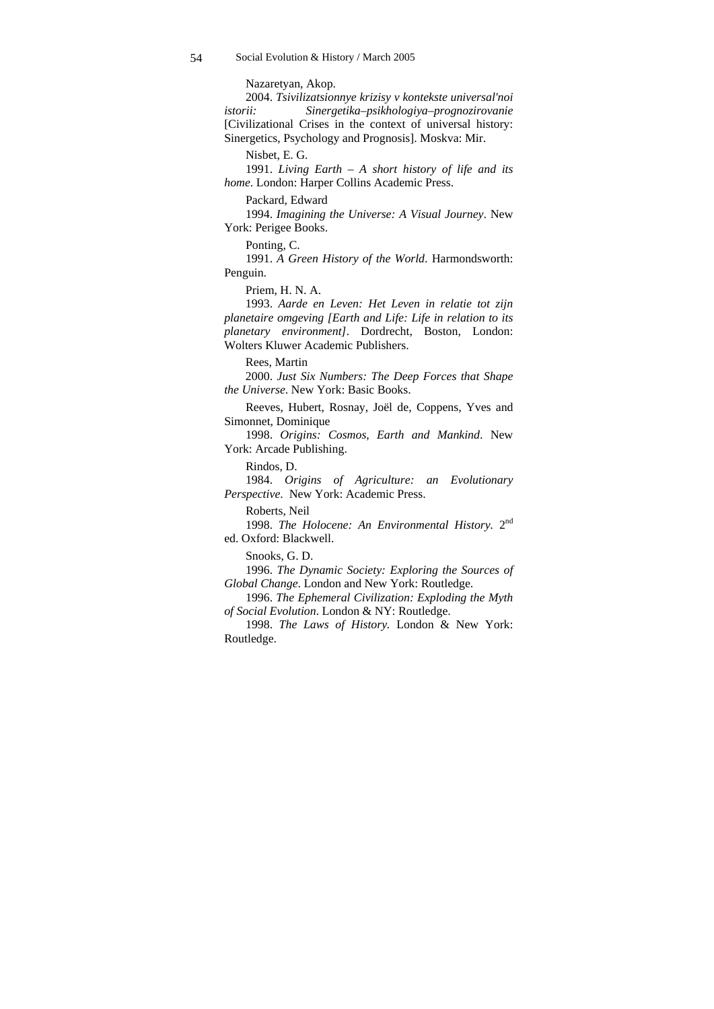Nazaretyan, Akop.

2004. *Tsivilizatsionnye krizisy v kontekste universal'noi istorii: Sinergetika–psikhologiya–prognozirovanie* [Civilizational Crises in the context of universal history: Sinergetics, Psychology and Prognosis]. Moskva: Mir.

Nisbet, E. G.

1991. *Living Earth – A short history of life and its home*. London: Harper Collins Academic Press.

Packard, Edward

1994. *Imagining the Universe: A Visual Journey*. New York: Perigee Books.

Ponting, C.

1991. *A Green History of the World*. Harmondsworth: Penguin.

Priem, H. N. A.

1993. *Aarde en Leven: Het Leven in relatie tot zijn planetaire omgeving [Earth and Life: Life in relation to its planetary environment]*. Dordrecht, Boston, London: Wolters Kluwer Academic Publishers.

Rees, Martin

2000. *Just Six Numbers: The Deep Forces that Shape the Universe*. New York: Basic Books.

Reeves, Hubert, Rosnay, Joël de, Coppens, Yves and Simonnet, Dominique

1998. *Origins: Cosmos, Earth and Mankind*. New York: Arcade Publishing.

Rindos, D.

1984. *Origins of Agriculture: an Evolutionary Perspective*. New York: Academic Press.

Roberts, Neil

1998. *The Holocene: An Environmental History.* 2nd ed. Oxford: Blackwell.

Snooks, G. D.

1996. *The Dynamic Society: Exploring the Sources of Global Change*. London and New York: Routledge.

1996. *The Ephemeral Civilization: Exploding the Myth of Social Evolution*. London & NY: Routledge.

1998. *The Laws of History.* London & New York: Routledge.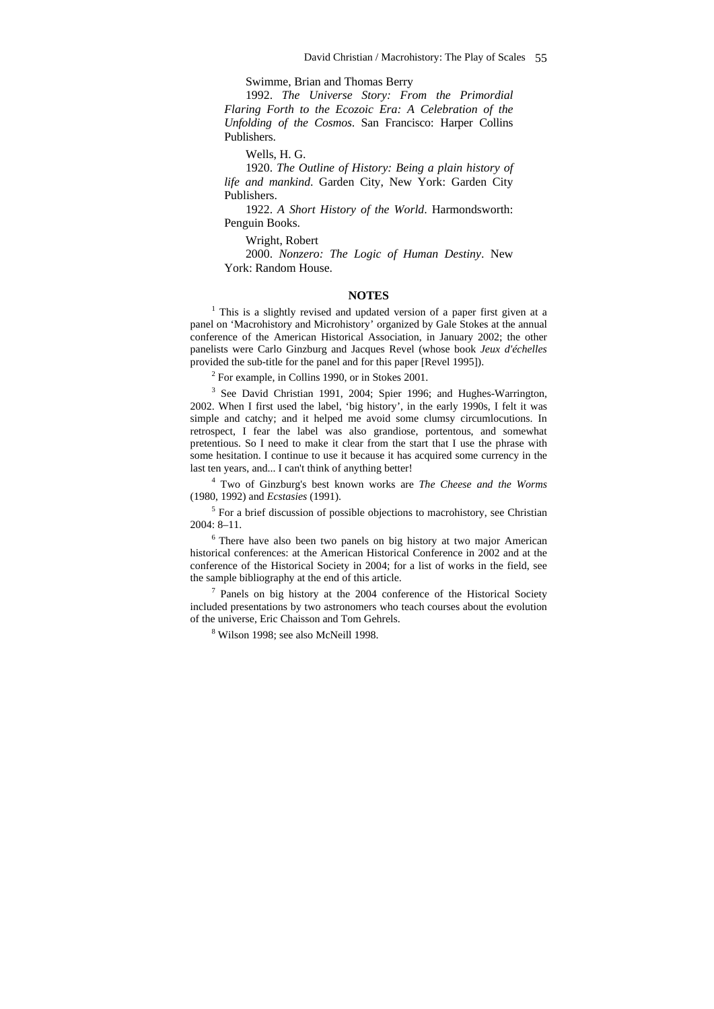Swimme, Brian and Thomas Berry

1992. *The Universe Story: From the Primordial Flaring Forth to the Ecozoic Era: A Celebration of the Unfolding of the Cosmos*. San Francisco: Harper Collins Publishers.

Wells, H. G.

1920. *The Outline of History: Being a plain history of life and mankind*. Garden City, New York: Garden City Publishers.

1922. *A Short History of the World*. Harmondsworth: Penguin Books.

Wright, Robert

2000. *Nonzero: The Logic of Human Destiny*. New York: Random House.

#### **NOTES**

<sup>1</sup> This is a slightly revised and updated version of a paper first given at a panel on 'Macrohistory and Microhistory' organized by Gale Stokes at the annual conference of the American Historical Association, in January 2002; the other panelists were Carlo Ginzburg and Jacques Revel (whose book *Jeux d'échelles* provided the sub-title for the panel and for this paper [Revel 1995]).

2 For example, in Collins 1990, or in Stokes 2001.

<sup>3</sup> See David Christian 1991, 2004; Spier 1996; and Hughes-Warrington, 2002. When I first used the label, 'big history', in the early 1990s, I felt it was simple and catchy; and it helped me avoid some clumsy circumlocutions. In retrospect, I fear the label was also grandiose, portentous, and somewhat pretentious. So I need to make it clear from the start that I use the phrase with some hesitation. I continue to use it because it has acquired some currency in the last ten years, and... I can't think of anything better!

4 Two of Ginzburg's best known works are *The Cheese and the Worms* (1980, 1992) and *Ecstasies* (1991).

<sup>5</sup> For a brief discussion of possible objections to macrohistory, see Christian 2004: 8–11.

<sup>6</sup> There have also been two panels on big history at two major American historical conferences: at the American Historical Conference in 2002 and at the conference of the Historical Society in 2004; for a list of works in the field, see the sample bibliography at the end of this article.

<sup>7</sup> Panels on big history at the 2004 conference of the Historical Society included presentations by two astronomers who teach courses about the evolution of the universe, Eric Chaisson and Tom Gehrels.

8 Wilson 1998; see also McNeill 1998.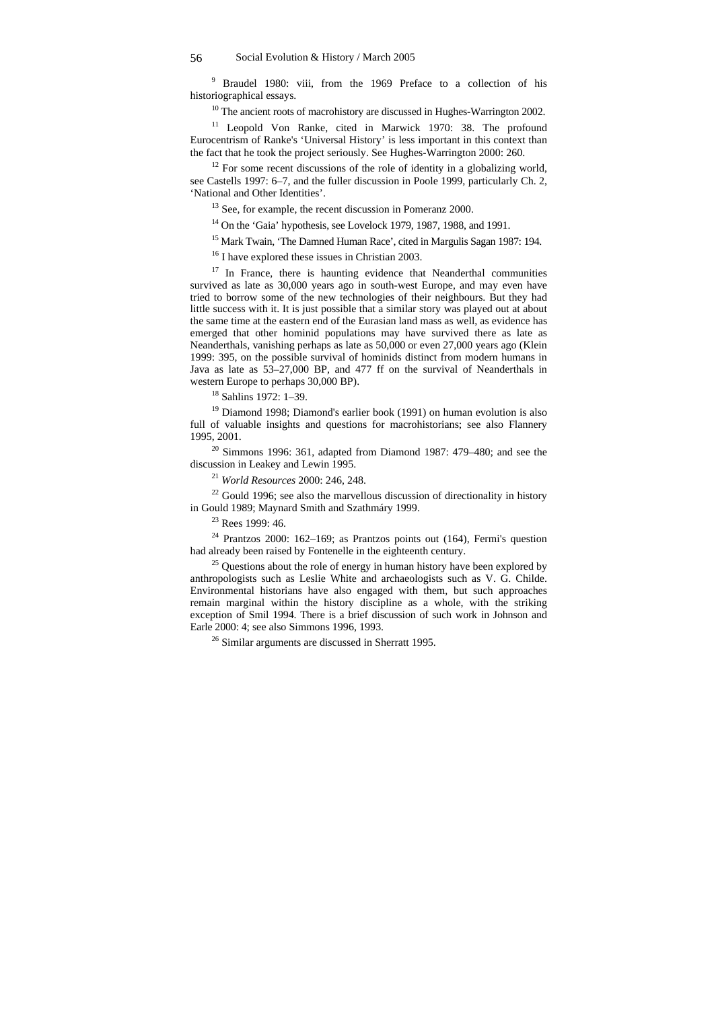<sup>9</sup> Braudel 1980: viii, from the 1969 Preface to a collection of his historiographical essays.

<sup>10</sup> The ancient roots of macrohistory are discussed in Hughes-Warrington 2002.

 $11$  Leopold Von Ranke, cited in Marwick 1970: 38. The profound Eurocentrism of Ranke's 'Universal History' is less important in this context than the fact that he took the project seriously. See Hughes-Warrington 2000: 260.

 $12$  For some recent discussions of the role of identity in a globalizing world, see Castells 1997: 6–7, and the fuller discussion in Poole 1999, particularly Ch. 2, 'National and Other Identities'.

<sup>13</sup> See, for example, the recent discussion in Pomeranz 2000.

 $14$  On the 'Gaia' hypothesis, see Lovelock 1979, 1987, 1988, and 1991.

<sup>15</sup> Mark Twain, 'The Damned Human Race', cited in Margulis Sagan 1987: 194.

<sup>16</sup> I have explored these issues in Christian 2003.

 $17$  In France, there is haunting evidence that Neanderthal communities survived as late as 30,000 years ago in south-west Europe, and may even have tried to borrow some of the new technologies of their neighbours. But they had little success with it. It is just possible that a similar story was played out at about the same time at the eastern end of the Eurasian land mass as well, as evidence has emerged that other hominid populations may have survived there as late as Neanderthals, vanishing perhaps as late as 50,000 or even 27,000 years ago (Klein 1999: 395, on the possible survival of hominids distinct from modern humans in Java as late as 53–27,000 BP, and 477 ff on the survival of Neanderthals in western Europe to perhaps 30,000 BP).

18 Sahlins 1972: 1–39.

<sup>19</sup> Diamond 1998; Diamond's earlier book (1991) on human evolution is also full of valuable insights and questions for macrohistorians; see also Flannery 1995, 2001.

 $20$  Simmons 1996: 361, adapted from Diamond 1987: 479–480; and see the discussion in Leakey and Lewin 1995.

<sup>21</sup> *World Resources* 2000: 246, 248.

 $22$  Gould 1996; see also the marvellous discussion of directionality in history in Gould 1989; Maynard Smith and Szathmáry 1999. 23 Rees 1999: 46.

 $24$  Prantzos 2000: 162–169; as Prantzos points out (164), Fermi's question had already been raised by Fontenelle in the eighteenth century.

 $25$  Questions about the role of energy in human history have been explored by anthropologists such as Leslie White and archaeologists such as V. G. Childe. Environmental historians have also engaged with them, but such approaches remain marginal within the history discipline as a whole, with the striking exception of Smil 1994. There is a brief discussion of such work in Johnson and Earle 2000: 4; see also Simmons 1996, 1993.

26 Similar arguments are discussed in Sherratt 1995.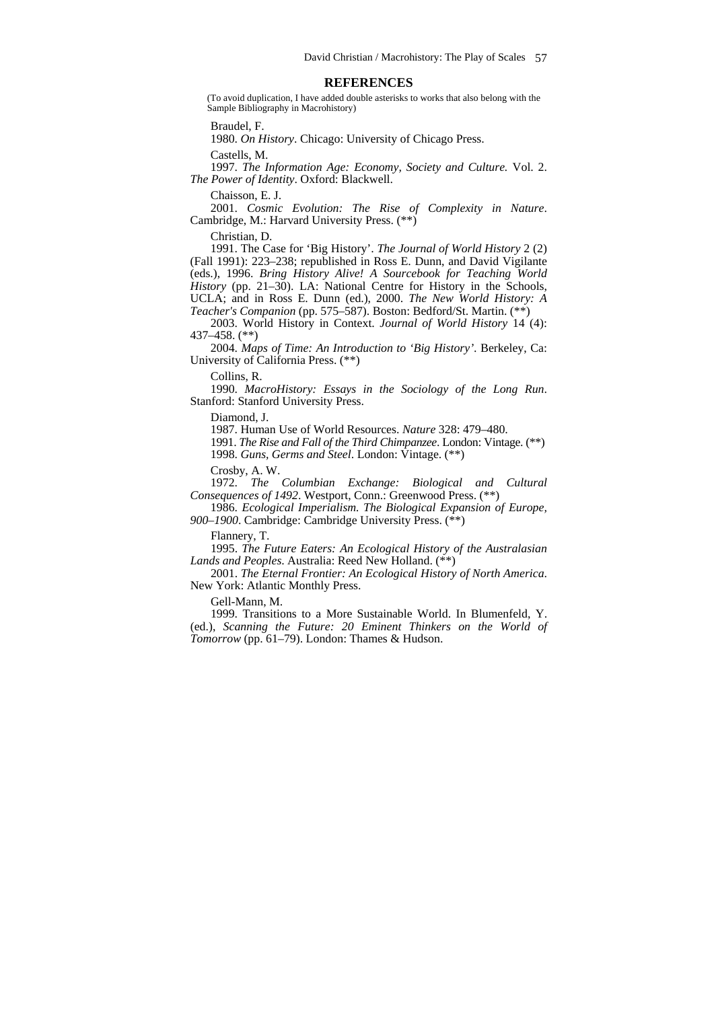#### **REFERENCES**

(To avoid duplication, I have added double asterisks to works that also belong with the Sample Bibliography in Macrohistory)

Braudel, F.

1980. *On History*. Chicago: University of Chicago Press.

Castells, M.

1997. *The Information Age: Economy, Society and Culture.* Vol. 2. *The Power of Identity*. Oxford: Blackwell.

Chaisson, E. J.

2001. *Cosmic Evolution: The Rise of Complexity in Nature*. Cambridge, M.: Harvard University Press. (\*\*)

Christian, D.

1991. The Case for 'Big History'. *The Journal of World History* 2 (2) (Fall 1991): 223–238; republished in Ross E. Dunn, and David Vigilante (eds.), 1996. *Bring History Alive! A Sourcebook for Teaching World History* (pp. 21–30). LA: National Centre for History in the Schools, UCLA; and in Ross E. Dunn (ed.), 2000. *The New World History: A Teacher's Companion* (pp. 575–587). Boston: Bedford/St. Martin. (\*\*)

2003. World History in Context. *Journal of World History* 14 (4): 437–458. (\*\*)

2004. *Maps of Time: An Introduction to 'Big History'*. Berkeley, Ca: University of California Press. (\*\*)

Collins, R.

1990. *MacroHistory: Essays in the Sociology of the Long Run*. Stanford: Stanford University Press.

Diamond, J.

1987. Human Use of World Resources. *Nature* 328: 479–480.

1991. *The Rise and Fall of the Third Chimpanzee*. London: Vintage. (\*\*) 1998. *Guns, Germs and Steel*. London: Vintage. (\*\*)

Crosby, A. W.

1972. *The Columbian Exchange: Biological and Cultural Consequences of 1492*. Westport, Conn.: Greenwood Press. (\*\*)

1986. *Ecological Imperialism. The Biological Expansion of Europe, 900–1900*. Cambridge: Cambridge University Press. (\*\*)

Flannery, T.

1995. *The Future Eaters: An Ecological History of the Australasian Lands and Peoples*. Australia: Reed New Holland. (\*\*)

2001. *The Eternal Frontier: An Ecological History of North America*. New York: Atlantic Monthly Press.

Gell-Mann, M.

1999. Transitions to a More Sustainable World. In Blumenfeld, Y. (ed.), *Scanning the Future: 20 Eminent Thinkers on the World of Tomorrow* (pp. 61–79). London: Thames & Hudson.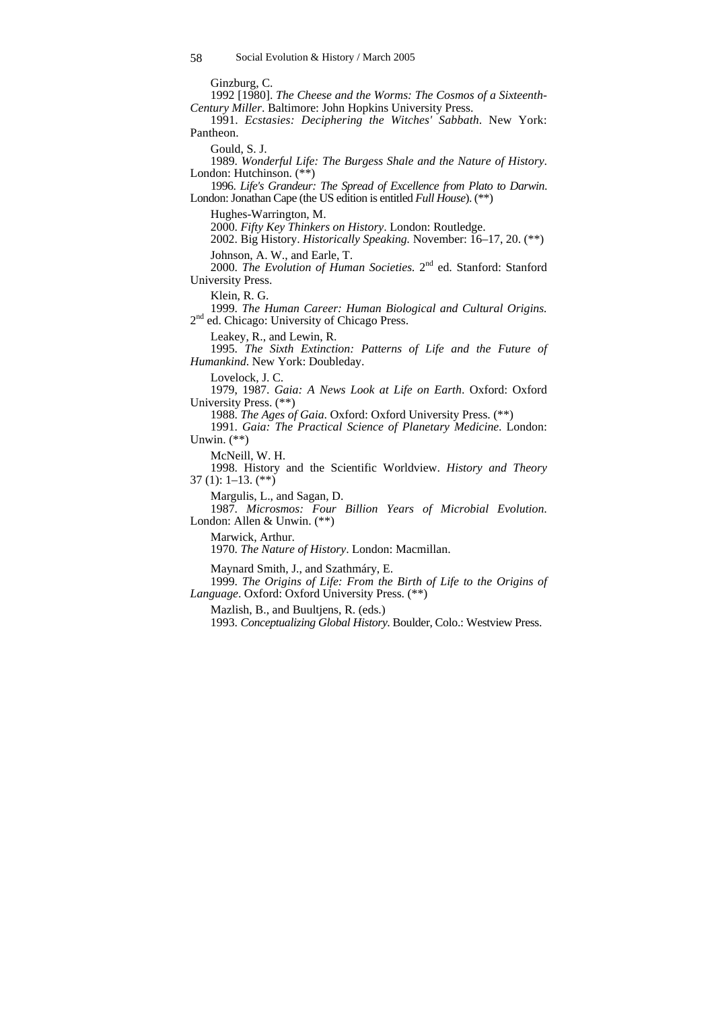Ginzburg, C.

1992 [1980]. *The Cheese and the Worms: The Cosmos of a Sixteenth-Century Miller*. Baltimore: John Hopkins University Press.

1991. *Ecstasies: Deciphering the Witches' Sabbath*. New York: Pantheon.

Gould, S. J.

1989. *Wonderful Life: The Burgess Shale and the Nature of History*. London: Hutchinson. (\*\*)

1996. *Life's Grandeur: The Spread of Excellence from Plato to Darwin*. London: Jonathan Cape (the US edition is entitled *Full House*). (\*\*)

Hughes-Warrington, M.

2000. *Fifty Key Thinkers on History*. London: Routledge. 2002. Big History. *Historically Speaking.* November: 16–17, 20. (\*\*)

Johnson, A. W., and Earle, T.

2000. *The Evolution of Human Societies*. 2<sup>nd</sup> ed. Stanford: Stanford University Press.

Klein, R. G.

1999. *The Human Career: Human Biological and Cultural Origins.* 2<sup>nd</sup> ed. Chicago: University of Chicago Press.

Leakey, R., and Lewin, R.

1995. *The Sixth Extinction: Patterns of Life and the Future of Humankind*. New York: Doubleday.

Lovelock, J. C.

1979, 1987. *Gaia: A News Look at Life on Earth*. Oxford: Oxford University Press. (\*\*)

1988. *The Ages of Gaia*. Oxford: Oxford University Press. (\*\*)

1991. *Gaia: The Practical Science of Planetary Medicine*. London: Unwin.  $(**)$ 

McNeill, W. H.

1998. History and the Scientific Worldview. *History and Theory*  $37(1): 1-13.$  (\*\*)

Margulis, L., and Sagan, D.

1987. *Microsmos: Four Billion Years of Microbial Evolution*. London: Allen & Unwin. (\*\*)

Marwick, Arthur.

1970. *The Nature of History*. London: Macmillan.

Maynard Smith, J., and Szathmáry, E.

1999. *The Origins of Life: From the Birth of Life to the Origins of Language*. Oxford: Oxford University Press. (\*\*)

Mazlish, B., and Buultjens, R. (eds.)

1993. *Conceptualizing Global History*. Boulder, Colo.: Westview Press.